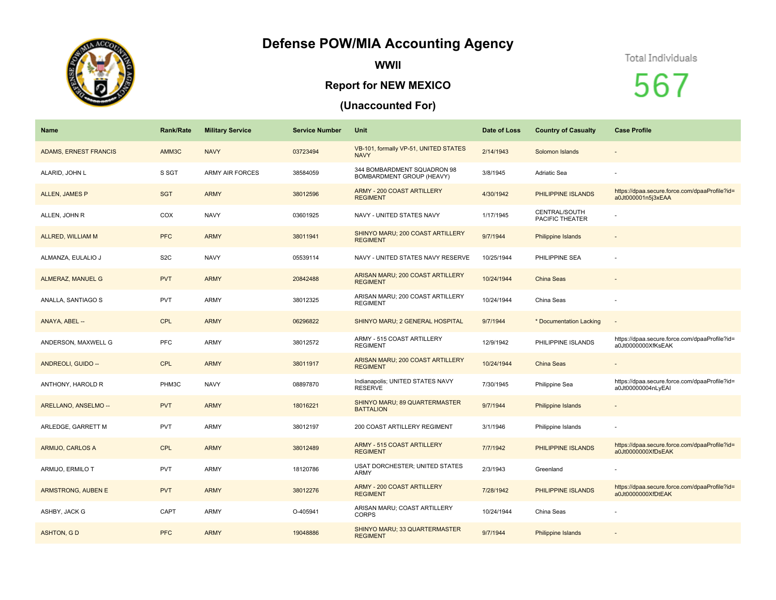## **Defense POW/MIA Accounting Agency**



**WWII**

## **Report for NEW MEXICO**

## **(Unaccounted For)**

## Total Individuals

567

| <b>Name</b>                  | <b>Rank/Rate</b> | <b>Military Service</b> | <b>Service Number</b> | Unit                                                            | Date of Loss | <b>Country of Casualty</b>       | <b>Case Profile</b>                                                 |
|------------------------------|------------------|-------------------------|-----------------------|-----------------------------------------------------------------|--------------|----------------------------------|---------------------------------------------------------------------|
| <b>ADAMS, ERNEST FRANCIS</b> | AMM3C            | <b>NAVY</b>             | 03723494              | VB-101, formally VP-51, UNITED STATES<br><b>NAVY</b>            | 2/14/1943    | Solomon Islands                  |                                                                     |
| ALARID, JOHN L               | S SGT            | <b>ARMY AIR FORCES</b>  | 38584059              | 344 BOMBARDMENT SQUADRON 98<br><b>BOMBARDMENT GROUP (HEAVY)</b> | 3/8/1945     | Adriatic Sea                     |                                                                     |
| <b>ALLEN, JAMES P</b>        | <b>SGT</b>       | <b>ARMY</b>             | 38012596              | <b>ARMY - 200 COAST ARTILLERY</b><br><b>REGIMENT</b>            | 4/30/1942    | PHILIPPINE ISLANDS               | https://dpaa.secure.force.com/dpaaProfile?id=<br>a0Jt000001n5i3xEAA |
| ALLEN, JOHN R                | COX              | <b>NAVY</b>             | 03601925              | NAVY - UNITED STATES NAVY                                       | 1/17/1945    | CENTRAL/SOUTH<br>PACIFIC THEATER |                                                                     |
| <b>ALLRED, WILLIAM M</b>     | <b>PFC</b>       | <b>ARMY</b>             | 38011941              | SHINYO MARU; 200 COAST ARTILLERY<br><b>REGIMENT</b>             | 9/7/1944     | <b>Philippine Islands</b>        |                                                                     |
| ALMANZA, EULALIO J           | S <sub>2</sub> C | <b>NAVY</b>             | 05539114              | NAVY - UNITED STATES NAVY RESERVE                               | 10/25/1944   | PHILIPPINE SEA                   |                                                                     |
| <b>ALMERAZ, MANUEL G</b>     | <b>PVT</b>       | <b>ARMY</b>             | 20842488              | ARISAN MARU; 200 COAST ARTILLERY<br><b>REGIMENT</b>             | 10/24/1944   | China Seas                       |                                                                     |
| ANALLA, SANTIAGO S           | <b>PVT</b>       | <b>ARMY</b>             | 38012325              | ARISAN MARU; 200 COAST ARTILLERY<br><b>REGIMENT</b>             | 10/24/1944   | China Seas                       |                                                                     |
| ANAYA, ABEL --               | <b>CPL</b>       | <b>ARMY</b>             | 06296822              | SHINYO MARU; 2 GENERAL HOSPITAL                                 | 9/7/1944     | * Documentation Lacking          | $\sim$                                                              |
| ANDERSON, MAXWELL G          | PFC              | <b>ARMY</b>             | 38012572              | ARMY - 515 COAST ARTILLERY<br><b>REGIMENT</b>                   | 12/9/1942    | PHILIPPINE ISLANDS               | https://dpaa.secure.force.com/dpaaProfile?id=<br>a0Jt0000000XfKsEAK |
| ANDREOLI, GUIDO --           | <b>CPL</b>       | <b>ARMY</b>             | 38011917              | ARISAN MARU; 200 COAST ARTILLERY<br><b>REGIMENT</b>             | 10/24/1944   | China Seas                       |                                                                     |
| ANTHONY, HAROLD R            | PHM3C            | <b>NAVY</b>             | 08897870              | Indianapolis; UNITED STATES NAVY<br><b>RESERVE</b>              | 7/30/1945    | Philippine Sea                   | https://dpaa.secure.force.com/dpaaProfile?id=<br>a0Jt00000004nLyEAI |
| ARELLANO, ANSELMO --         | <b>PVT</b>       | <b>ARMY</b>             | 18016221              | SHINYO MARU; 89 QUARTERMASTER<br><b>BATTALION</b>               | 9/7/1944     | <b>Philippine Islands</b>        |                                                                     |
| ARLEDGE, GARRETT M           | <b>PVT</b>       | <b>ARMY</b>             | 38012197              | 200 COAST ARTILLERY REGIMENT                                    | 3/1/1946     | Philippine Islands               |                                                                     |
| ARMIJO, CARLOS A             | <b>CPL</b>       | <b>ARMY</b>             | 38012489              | ARMY - 515 COAST ARTILLERY<br><b>REGIMENT</b>                   | 7/7/1942     | PHILIPPINE ISLANDS               | https://dpaa.secure.force.com/dpaaProfile?id=<br>a0Jt0000000XfDsEAK |
| ARMIJO, ERMILO T             | <b>PVT</b>       | <b>ARMY</b>             | 18120786              | <b>USAT DORCHESTER; UNITED STATES</b><br><b>ARMY</b>            | 2/3/1943     | Greenland                        |                                                                     |
| ARMSTRONG, AUBEN E           | <b>PVT</b>       | <b>ARMY</b>             | 38012276              | <b>ARMY - 200 COAST ARTILLERY</b><br><b>REGIMENT</b>            | 7/28/1942    | PHILIPPINE ISLANDS               | https://dpaa.secure.force.com/dpaaProfile?id=<br>a0Jt0000000XfDtEAK |
| ASHBY, JACK G                | CAPT             | <b>ARMY</b>             | O-405941              | ARISAN MARU; COAST ARTILLERY<br><b>CORPS</b>                    | 10/24/1944   | China Seas                       |                                                                     |
| <b>ASHTON, GD</b>            | <b>PFC</b>       | <b>ARMY</b>             | 19048886              | SHINYO MARU; 33 QUARTERMASTER<br><b>REGIMENT</b>                | 9/7/1944     | Philippine Islands               |                                                                     |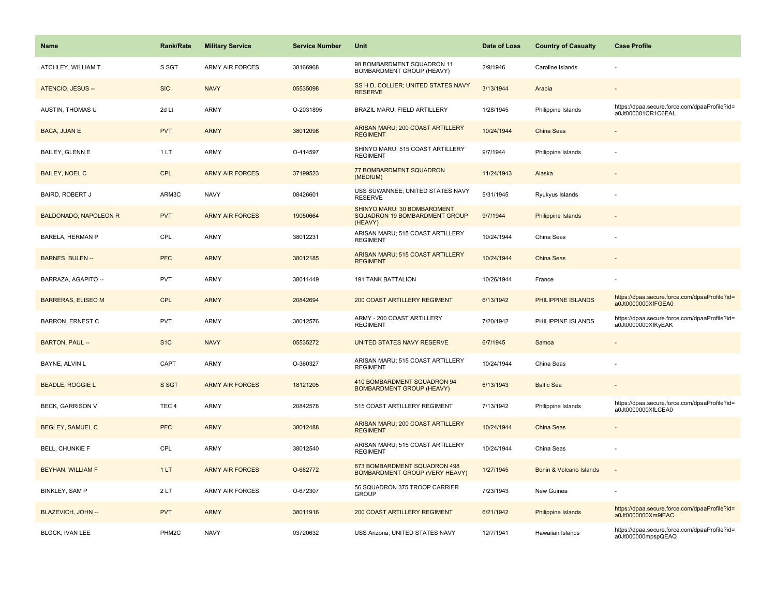| Name                         | <b>Rank/Rate</b>  | <b>Military Service</b> | <b>Service Number</b> | Unit                                                                    | Date of Loss | <b>Country of Casualty</b> | <b>Case Profile</b>                                                 |
|------------------------------|-------------------|-------------------------|-----------------------|-------------------------------------------------------------------------|--------------|----------------------------|---------------------------------------------------------------------|
| ATCHLEY, WILLIAM T.          | S SGT             | <b>ARMY AIR FORCES</b>  | 38166968              | 98 BOMBARDMENT SQUADRON 11<br>BOMBARDMENT GROUP (HEAVY)                 | 2/9/1946     | Caroline Islands           |                                                                     |
| ATENCIO, JESUS --            | <b>SIC</b>        | <b>NAVY</b>             | 05535098              | SS H.D. COLLIER; UNITED STATES NAVY<br><b>RESERVE</b>                   | 3/13/1944    | Arabia                     |                                                                     |
| AUSTIN, THOMAS U             | 2d Lt             | <b>ARMY</b>             | O-2031895             | BRAZIL MARU; FIELD ARTILLERY                                            | 1/28/1945    | Philippine Islands         | https://dpaa.secure.force.com/dpaaProfile?id=<br>a0Jt000001CR1C6EAL |
| BACA, JUAN E                 | <b>PVT</b>        | <b>ARMY</b>             | 38012098              | ARISAN MARU; 200 COAST ARTILLERY<br><b>REGIMENT</b>                     | 10/24/1944   | <b>China Seas</b>          |                                                                     |
| BAILEY, GLENN E              | 1LT               | <b>ARMY</b>             | O-414597              | SHINYO MARU; 515 COAST ARTILLERY<br><b>REGIMENT</b>                     | 9/7/1944     | Philippine Islands         |                                                                     |
| <b>BAILEY, NOEL C</b>        | <b>CPL</b>        | <b>ARMY AIR FORCES</b>  | 37199523              | 77 BOMBARDMENT SQUADRON<br>(MEDIUM)                                     | 11/24/1943   | Alaska                     |                                                                     |
| <b>BAIRD, ROBERT J</b>       | ARM3C             | <b>NAVY</b>             | 08426601              | USS SUWANNEE; UNITED STATES NAVY<br><b>RESERVE</b>                      | 5/31/1945    | Ryukyus Islands            |                                                                     |
| <b>BALDONADO, NAPOLEON R</b> | <b>PVT</b>        | <b>ARMY AIR FORCES</b>  | 19050664              | SHINYO MARU; 30 BOMBARDMENT<br>SQUADRON 19 BOMBARDMENT GROUP<br>(HEAVY) | 9/7/1944     | <b>Philippine Islands</b>  |                                                                     |
| <b>BARELA, HERMAN P</b>      | CPL               | <b>ARMY</b>             | 38012231              | ARISAN MARU; 515 COAST ARTILLERY<br><b>REGIMENT</b>                     | 10/24/1944   | China Seas                 |                                                                     |
| <b>BARNES, BULEN --</b>      | <b>PFC</b>        | <b>ARMY</b>             | 38012185              | ARISAN MARU; 515 COAST ARTILLERY<br><b>REGIMENT</b>                     | 10/24/1944   | <b>China Seas</b>          |                                                                     |
| BARRAZA, AGAPITO --          | <b>PVT</b>        | <b>ARMY</b>             | 38011449              | <b>191 TANK BATTALION</b>                                               | 10/26/1944   | France                     |                                                                     |
| <b>BARRERAS, ELISEO M</b>    | <b>CPL</b>        | <b>ARMY</b>             | 20842694              | <b>200 COAST ARTILLERY REGIMENT</b>                                     | 6/13/1942    | PHILIPPINE ISLANDS         | https://dpaa.secure.force.com/dpaaProfile?id=<br>a0Jt0000000XfFGEA0 |
| <b>BARRON, ERNEST C</b>      | <b>PVT</b>        | ARMY                    | 38012576              | ARMY - 200 COAST ARTILLERY<br><b>REGIMENT</b>                           | 7/20/1942    | PHILIPPINE ISLANDS         | https://dpaa.secure.force.com/dpaaProfile?id=<br>a0Jt0000000XfKyEAK |
| BARTON, PAUL --              | S <sub>1</sub> C  | <b>NAVY</b>             | 05535272              | UNITED STATES NAVY RESERVE                                              | 6/7/1945     | Samoa                      |                                                                     |
| BAYNE, ALVIN L               | CAPT              | ARMY                    | O-360327              | ARISAN MARU; 515 COAST ARTILLERY<br><b>REGIMENT</b>                     | 10/24/1944   | China Seas                 |                                                                     |
| <b>BEADLE, ROGGIE L</b>      | S SGT             | <b>ARMY AIR FORCES</b>  | 18121205              | 410 BOMBARDMENT SQUADRON 94<br><b>BOMBARDMENT GROUP (HEAVY)</b>         | 6/13/1943    | <b>Baltic Sea</b>          |                                                                     |
| <b>BECK, GARRISON V</b>      | TEC <sub>4</sub>  | <b>ARMY</b>             | 20842578              | 515 COAST ARTILLERY REGIMENT                                            | 7/13/1942    | Philippine Islands         | https://dpaa.secure.force.com/dpaaProfile?id=<br>a0Jt0000000XfLCEA0 |
| <b>BEGLEY, SAMUEL C</b>      | <b>PFC</b>        | <b>ARMY</b>             | 38012488              | ARISAN MARU; 200 COAST ARTILLERY<br><b>REGIMENT</b>                     | 10/24/1944   | <b>China Seas</b>          |                                                                     |
| <b>BELL, CHUNKIE F</b>       | CPL               | ARMY                    | 38012540              | ARISAN MARU; 515 COAST ARTILLERY<br><b>REGIMENT</b>                     | 10/24/1944   | China Seas                 |                                                                     |
| BEYHAN, WILLIAM F            | 1LT               | <b>ARMY AIR FORCES</b>  | O-682772              | 873 BOMBARDMENT SQUADRON 498<br><b>BOMBARDMENT GROUP (VERY HEAVY)</b>   | 1/27/1945    | Bonin & Volcano Islands    |                                                                     |
| <b>BINKLEY, SAM P</b>        | 2LT               | ARMY AIR FORCES         | O-672307              | 56 SQUADRON 375 TROOP CARRIER<br><b>GROUP</b>                           | 7/23/1943    | New Guinea                 |                                                                     |
| BLAZEVICH, JOHN --           | <b>PVT</b>        | <b>ARMY</b>             | 38011916              | 200 COAST ARTILLERY REGIMENT                                            | 6/21/1942    | Philippine Islands         | https://dpaa.secure.force.com/dpaaProfile?id=<br>a0Jt0000000Xm9iEAC |
| <b>BLOCK. IVAN LEE</b>       | PHM <sub>2C</sub> | <b>NAVY</b>             | 03720632              | USS Arizona: UNITED STATES NAVY                                         | 12/7/1941    | Hawaiian Islands           | https://dpaa.secure.force.com/dpaaProfile?id=<br>a0Jt000000mpspQEAQ |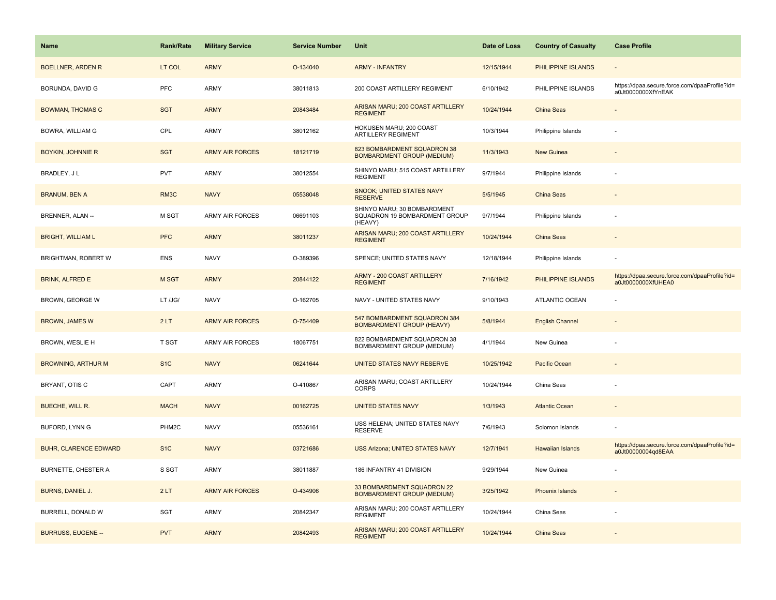| Name                         | <b>Rank/Rate</b>  | <b>Military Service</b> | <b>Service Number</b> | Unit                                                                    | Date of Loss | <b>Country of Casualty</b> | <b>Case Profile</b>                                                 |
|------------------------------|-------------------|-------------------------|-----------------------|-------------------------------------------------------------------------|--------------|----------------------------|---------------------------------------------------------------------|
| <b>BOELLNER, ARDEN R</b>     | LT COL            | <b>ARMY</b>             | O-134040              | <b>ARMY - INFANTRY</b>                                                  | 12/15/1944   | PHILIPPINE ISLANDS         |                                                                     |
| BORUNDA, DAVID G             | PFC               | ARMY                    | 38011813              | 200 COAST ARTILLERY REGIMENT                                            | 6/10/1942    | PHILIPPINE ISLANDS         | https://dpaa.secure.force.com/dpaaProfile?id=<br>a0Jt0000000XfYnEAK |
| <b>BOWMAN, THOMAS C</b>      | <b>SGT</b>        | <b>ARMY</b>             | 20843484              | ARISAN MARU; 200 COAST ARTILLERY<br><b>REGIMENT</b>                     | 10/24/1944   | China Seas                 |                                                                     |
| <b>BOWRA, WILLIAM G</b>      | CPL               | <b>ARMY</b>             | 38012162              | HOKUSEN MARU; 200 COAST<br>ARTILLERY REGIMENT                           | 10/3/1944    | Philippine Islands         |                                                                     |
| <b>BOYKIN, JOHNNIE R</b>     | <b>SGT</b>        | <b>ARMY AIR FORCES</b>  | 18121719              | 823 BOMBARDMENT SQUADRON 38<br><b>BOMBARDMENT GROUP (MEDIUM)</b>        | 11/3/1943    | <b>New Guinea</b>          |                                                                     |
| BRADLEY, J L                 | <b>PVT</b>        | <b>ARMY</b>             | 38012554              | SHINYO MARU; 515 COAST ARTILLERY<br><b>REGIMENT</b>                     | 9/7/1944     | Philippine Islands         |                                                                     |
| <b>BRANUM, BEN A</b>         | RM3C              | <b>NAVY</b>             | 05538048              | SNOOK; UNITED STATES NAVY<br><b>RESERVE</b>                             | 5/5/1945     | China Seas                 |                                                                     |
| BRENNER, ALAN --             | M SGT             | <b>ARMY AIR FORCES</b>  | 06691103              | SHINYO MARU; 30 BOMBARDMENT<br>SQUADRON 19 BOMBARDMENT GROUP<br>(HEAVY) | 9/7/1944     | Philippine Islands         |                                                                     |
| <b>BRIGHT, WILLIAM L</b>     | <b>PFC</b>        | <b>ARMY</b>             | 38011237              | ARISAN MARU; 200 COAST ARTILLERY<br><b>REGIMENT</b>                     | 10/24/1944   | <b>China Seas</b>          |                                                                     |
| BRIGHTMAN, ROBERT W          | <b>ENS</b>        | <b>NAVY</b>             | O-389396              | SPENCE; UNITED STATES NAVY                                              | 12/18/1944   | Philippine Islands         |                                                                     |
| <b>BRINK, ALFRED E</b>       | M SGT             | <b>ARMY</b>             | 20844122              | <b>ARMY - 200 COAST ARTILLERY</b><br><b>REGIMENT</b>                    | 7/16/1942    | PHILIPPINE ISLANDS         | https://dpaa.secure.force.com/dpaaProfile?id=<br>a0Jt0000000XfUHEA0 |
| BROWN, GEORGE W              | LT /JG/           | <b>NAVY</b>             | O-162705              | NAVY - UNITED STATES NAVY                                               | 9/10/1943    | <b>ATLANTIC OCEAN</b>      |                                                                     |
| <b>BROWN, JAMES W</b>        | 2LT               | <b>ARMY AIR FORCES</b>  | O-754409              | 547 BOMBARDMENT SQUADRON 384<br><b>BOMBARDMENT GROUP (HEAVY)</b>        | 5/8/1944     | <b>English Channel</b>     |                                                                     |
| BROWN, WESLIE H              | <b>T SGT</b>      | ARMY AIR FORCES         | 18067751              | 822 BOMBARDMENT SQUADRON 38<br>BOMBARDMENT GROUP (MEDIUM)               | 4/1/1944     | New Guinea                 |                                                                     |
| <b>BROWNING, ARTHUR M</b>    | S <sub>1</sub> C  | <b>NAVY</b>             | 06241644              | UNITED STATES NAVY RESERVE                                              | 10/25/1942   | Pacific Ocean              |                                                                     |
| BRYANT, OTIS C               | CAPT              | <b>ARMY</b>             | O-410867              | ARISAN MARU; COAST ARTILLERY<br><b>CORPS</b>                            | 10/24/1944   | China Seas                 |                                                                     |
| BUECHE, WILL R.              | <b>MACH</b>       | <b>NAVY</b>             | 00162725              | <b>UNITED STATES NAVY</b>                                               | 1/3/1943     | <b>Atlantic Ocean</b>      |                                                                     |
| BUFORD, LYNN G               | PHM <sub>2C</sub> | <b>NAVY</b>             | 05536161              | USS HELENA; UNITED STATES NAVY<br>RESERVE                               | 7/6/1943     | Solomon Islands            |                                                                     |
| <b>BUHR, CLARENCE EDWARD</b> | S <sub>1</sub> C  | <b>NAVY</b>             | 03721686              | <b>USS Arizona; UNITED STATES NAVY</b>                                  | 12/7/1941    | Hawaiian Islands           | https://dpaa.secure.force.com/dpaaProfile?id=<br>a0Jt00000004qd8EAA |
| <b>BURNETTE, CHESTER A</b>   | S SGT             | <b>ARMY</b>             | 38011887              | 186 INFANTRY 41 DIVISION                                                | 9/29/1944    | New Guinea                 |                                                                     |
| BURNS, DANIEL J.             | 2LT               | <b>ARMY AIR FORCES</b>  | O-434906              | 33 BOMBARDMENT SQUADRON 22<br><b>BOMBARDMENT GROUP (MEDIUM)</b>         | 3/25/1942    | <b>Phoenix Islands</b>     |                                                                     |
| BURRELL, DONALD W            | SGT               | <b>ARMY</b>             | 20842347              | ARISAN MARU; 200 COAST ARTILLERY<br><b>REGIMENT</b>                     | 10/24/1944   | China Seas                 |                                                                     |
| <b>BURRUSS, EUGENE --</b>    | <b>PVT</b>        | <b>ARMY</b>             | 20842493              | ARISAN MARU; 200 COAST ARTILLERY<br><b>REGIMENT</b>                     | 10/24/1944   | China Seas                 |                                                                     |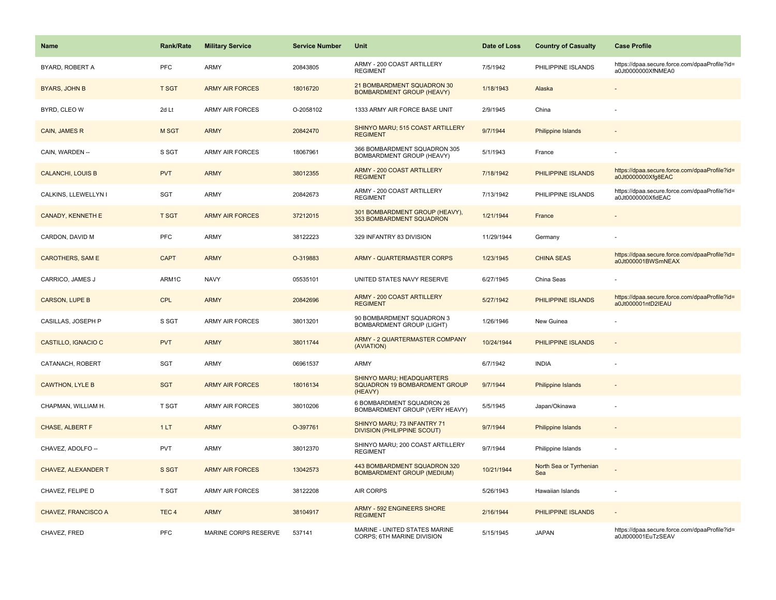| <b>Name</b>                | Rank/Rate        | <b>Military Service</b> | <b>Service Number</b> | Unit                                                                  | Date of Loss | <b>Country of Casualty</b>     | <b>Case Profile</b>                                                 |
|----------------------------|------------------|-------------------------|-----------------------|-----------------------------------------------------------------------|--------------|--------------------------------|---------------------------------------------------------------------|
| BYARD, ROBERT A            | <b>PFC</b>       | <b>ARMY</b>             | 20843805              | ARMY - 200 COAST ARTILLERY<br><b>REGIMENT</b>                         | 7/5/1942     | PHILIPPINE ISLANDS             | https://dpaa.secure.force.com/dpaaProfile?id=<br>a0Jt0000000XfNMEA0 |
| <b>BYARS, JOHN B</b>       | <b>T SGT</b>     | <b>ARMY AIR FORCES</b>  | 18016720              | 21 BOMBARDMENT SQUADRON 30<br><b>BOMBARDMENT GROUP (HEAVY)</b>        | 1/18/1943    | Alaska                         |                                                                     |
| BYRD, CLEO W               | 2d Lt            | <b>ARMY AIR FORCES</b>  | O-2058102             | 1333 ARMY AIR FORCE BASE UNIT                                         | 2/9/1945     | China                          |                                                                     |
| CAIN, JAMES R              | M SGT            | <b>ARMY</b>             | 20842470              | SHINYO MARU; 515 COAST ARTILLERY<br><b>REGIMENT</b>                   | 9/7/1944     | <b>Philippine Islands</b>      |                                                                     |
| CAIN, WARDEN --            | S SGT            | <b>ARMY AIR FORCES</b>  | 18067961              | 366 BOMBARDMENT SQUADRON 305<br>BOMBARDMENT GROUP (HEAVY)             | 5/1/1943     | France                         |                                                                     |
| <b>CALANCHI, LOUIS B</b>   | <b>PVT</b>       | <b>ARMY</b>             | 38012355              | <b>ARMY - 200 COAST ARTILLERY</b><br><b>REGIMENT</b>                  | 7/18/1942    | PHILIPPINE ISLANDS             | https://dpaa.secure.force.com/dpaaProfile?id=<br>a0Jt0000000Xfg8EAC |
| CALKINS, LLEWELLYN I       | SGT              | <b>ARMY</b>             | 20842673              | ARMY - 200 COAST ARTILLERY<br><b>REGIMENT</b>                         | 7/13/1942    | PHILIPPINE ISLANDS             | https://dpaa.secure.force.com/dpaaProfile?id=<br>a0Jt0000000XfidEAC |
| <b>CANADY, KENNETH E</b>   | <b>T SGT</b>     | <b>ARMY AIR FORCES</b>  | 37212015              | 301 BOMBARDMENT GROUP (HEAVY),<br>353 BOMBARDMENT SQUADRON            | 1/21/1944    | France                         |                                                                     |
| CARDON, DAVID M            | <b>PFC</b>       | ARMY                    | 38122223              | 329 INFANTRY 83 DIVISION                                              | 11/29/1944   | Germany                        |                                                                     |
| <b>CAROTHERS, SAM E</b>    | <b>CAPT</b>      | <b>ARMY</b>             | O-319883              | <b>ARMY - QUARTERMASTER CORPS</b>                                     | 1/23/1945    | <b>CHINA SEAS</b>              | https://dpaa.secure.force.com/dpaaProfile?id=<br>a0Jt000001BWSmNEAX |
| CARRICO, JAMES J           | ARM1C            | <b>NAVY</b>             | 05535101              | UNITED STATES NAVY RESERVE                                            | 6/27/1945    | China Seas                     |                                                                     |
| <b>CARSON, LUPE B</b>      | <b>CPL</b>       | <b>ARMY</b>             | 20842696              | <b>ARMY - 200 COAST ARTILLERY</b><br><b>REGIMENT</b>                  | 5/27/1942    | PHILIPPINE ISLANDS             | https://dpaa.secure.force.com/dpaaProfile?id=<br>a0Jt000001ntD2IEAU |
| CASILLAS, JOSEPH P         | S SGT            | <b>ARMY AIR FORCES</b>  | 38013201              | 90 BOMBARDMENT SQUADRON 3<br><b>BOMBARDMENT GROUP (LIGHT)</b>         | 1/26/1946    | New Guinea                     |                                                                     |
| CASTILLO, IGNACIO C        | <b>PVT</b>       | <b>ARMY</b>             | 38011744              | ARMY - 2 QUARTERMASTER COMPANY<br>(AVIATION)                          | 10/24/1944   | PHILIPPINE ISLANDS             | $\overline{\phantom{a}}$                                            |
| CATANACH, ROBERT           | SGT              | <b>ARMY</b>             | 06961537              | <b>ARMY</b>                                                           | 6/7/1942     | <b>INDIA</b>                   |                                                                     |
| <b>CAWTHON, LYLE B</b>     | <b>SGT</b>       | <b>ARMY AIR FORCES</b>  | 18016134              | SHINYO MARU; HEADQUARTERS<br>SQUADRON 19 BOMBARDMENT GROUP<br>(HEAVY) | 9/7/1944     | <b>Philippine Islands</b>      |                                                                     |
| CHAPMAN, WILLIAM H.        | T SGT            | <b>ARMY AIR FORCES</b>  | 38010206              | 6 BOMBARDMENT SQUADRON 26<br>BOMBARDMENT GROUP (VERY HEAVY)           | 5/5/1945     | Japan/Okinawa                  |                                                                     |
| CHASE, ALBERT F            | 1LT              | <b>ARMY</b>             | O-397761              | SHINYO MARU; 73 INFANTRY 71<br><b>DIVISION (PHILIPPINE SCOUT)</b>     | 9/7/1944     | <b>Philippine Islands</b>      |                                                                     |
| CHAVEZ, ADOLFO --          | <b>PVT</b>       | <b>ARMY</b>             | 38012370              | SHINYO MARU; 200 COAST ARTILLERY<br><b>REGIMENT</b>                   | 9/7/1944     | Philippine Islands             |                                                                     |
| CHAVEZ, ALEXANDER T        | S SGT            | <b>ARMY AIR FORCES</b>  | 13042573              | 443 BOMBARDMENT SQUADRON 320<br><b>BOMBARDMENT GROUP (MEDIUM)</b>     | 10/21/1944   | North Sea or Tyrrhenian<br>Sea |                                                                     |
| CHAVEZ, FELIPE D           | T SGT            | <b>ARMY AIR FORCES</b>  | 38122208              | AIR CORPS                                                             | 5/26/1943    | Hawaiian Islands               | ÷                                                                   |
| <b>CHAVEZ, FRANCISCO A</b> | TEC <sub>4</sub> | <b>ARMY</b>             | 38104917              | <b>ARMY - 592 ENGINEERS SHORE</b><br><b>REGIMENT</b>                  | 2/16/1944    | PHILIPPINE ISLANDS             | $\sim$                                                              |
| CHAVEZ, FRED               | PFC              | MARINE CORPS RESERVE    | 537141                | MARINE - UNITED STATES MARINE<br>CORPS; 6TH MARINE DIVISION           | 5/15/1945    | <b>JAPAN</b>                   | https://dpaa.secure.force.com/dpaaProfile?id=<br>a0Jt000001EuTzSEAV |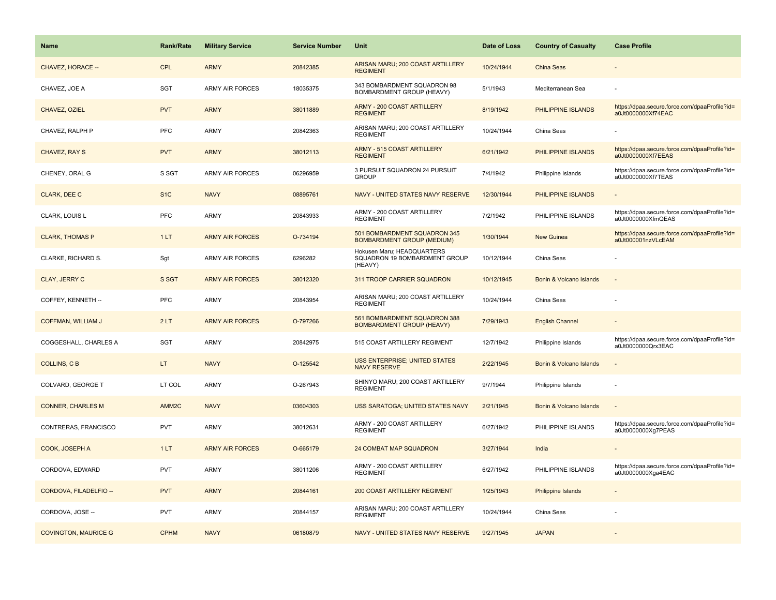| Name                        | <b>Rank/Rate</b>  | <b>Military Service</b> | <b>Service Number</b> | Unit                                                                   | Date of Loss | <b>Country of Casualty</b> | <b>Case Profile</b>                                                 |
|-----------------------------|-------------------|-------------------------|-----------------------|------------------------------------------------------------------------|--------------|----------------------------|---------------------------------------------------------------------|
| CHAVEZ, HORACE --           | <b>CPL</b>        | <b>ARMY</b>             | 20842385              | ARISAN MARU; 200 COAST ARTILLERY<br><b>REGIMENT</b>                    | 10/24/1944   | China Seas                 |                                                                     |
| CHAVEZ, JOE A               | <b>SGT</b>        | <b>ARMY AIR FORCES</b>  | 18035375              | 343 BOMBARDMENT SQUADRON 98<br><b>BOMBARDMENT GROUP (HEAVY)</b>        | 5/1/1943     | Mediterranean Sea          |                                                                     |
| CHAVEZ, OZIEL               | <b>PVT</b>        | <b>ARMY</b>             | 38011889              | ARMY - 200 COAST ARTILLERY<br><b>REGIMENT</b>                          | 8/19/1942    | PHILIPPINE ISLANDS         | https://dpaa.secure.force.com/dpaaProfile?id=<br>a0Jt0000000Xf74EAC |
| CHAVEZ, RALPH P             | <b>PFC</b>        | <b>ARMY</b>             | 20842363              | ARISAN MARU; 200 COAST ARTILLERY<br><b>REGIMENT</b>                    | 10/24/1944   | China Seas                 |                                                                     |
| CHAVEZ, RAY S               | <b>PVT</b>        | <b>ARMY</b>             | 38012113              | ARMY - 515 COAST ARTILLERY<br><b>REGIMENT</b>                          | 6/21/1942    | PHILIPPINE ISLANDS         | https://dpaa.secure.force.com/dpaaProfile?id=<br>a0Jt0000000Xf7EEAS |
| CHENEY, ORAL G              | S SGT             | <b>ARMY AIR FORCES</b>  | 06296959              | 3 PURSUIT SQUADRON 24 PURSUIT<br><b>GROUP</b>                          | 7/4/1942     | Philippine Islands         | https://dpaa.secure.force.com/dpaaProfile?id=<br>a0Jt0000000Xf7TEAS |
| CLARK, DEE C                | S <sub>1</sub> C  | <b>NAVY</b>             | 08895761              | NAVY - UNITED STATES NAVY RESERVE                                      | 12/30/1944   | PHILIPPINE ISLANDS         |                                                                     |
| CLARK, LOUIS L              | PFC               | ARMY                    | 20843933              | ARMY - 200 COAST ARTILLERY<br><b>REGIMENT</b>                          | 7/2/1942     | PHILIPPINE ISLANDS         | https://dpaa.secure.force.com/dpaaProfile?id=<br>a0Jt0000000XfmQEAS |
| <b>CLARK, THOMAS P</b>      | 1LT               | <b>ARMY AIR FORCES</b>  | O-734194              | 501 BOMBARDMENT SQUADRON 345<br><b>BOMBARDMENT GROUP (MEDIUM)</b>      | 1/30/1944    | <b>New Guinea</b>          | https://dpaa.secure.force.com/dpaaProfile?id=<br>a0Jt000001nzVLcEAM |
| CLARKE, RICHARD S.          | Sgt               | <b>ARMY AIR FORCES</b>  | 6296282               | Hokusen Maru; HEADQUARTERS<br>SQUADRON 19 BOMBARDMENT GROUP<br>(HEAVY) | 10/12/1944   | China Seas                 |                                                                     |
| <b>CLAY, JERRY C</b>        | S SGT             | <b>ARMY AIR FORCES</b>  | 38012320              | 311 TROOP CARRIER SQUADRON                                             | 10/12/1945   | Bonin & Volcano Islands    |                                                                     |
| COFFEY, KENNETH --          | PFC               | ARMY                    | 20843954              | ARISAN MARU; 200 COAST ARTILLERY<br><b>REGIMENT</b>                    | 10/24/1944   | China Seas                 |                                                                     |
| <b>COFFMAN, WILLIAM J</b>   | 2LT               | <b>ARMY AIR FORCES</b>  | O-797266              | 561 BOMBARDMENT SQUADRON 388<br><b>BOMBARDMENT GROUP (HEAVY)</b>       | 7/29/1943    | <b>English Channel</b>     |                                                                     |
| COGGESHALL, CHARLES A       | <b>SGT</b>        | ARMY                    | 20842975              | 515 COAST ARTILLERY REGIMENT                                           | 12/7/1942    | Philippine Islands         | https://dpaa.secure.force.com/dpaaProfile?id=<br>a0Jt0000000Qrx3EAC |
| <b>COLLINS, CB</b>          | LT.               | <b>NAVY</b>             | O-125542              | <b>USS ENTERPRISE; UNITED STATES</b><br><b>NAVY RESERVE</b>            | 2/22/1945    | Bonin & Volcano Islands    |                                                                     |
| COLVARD, GEORGE T           | LT COL            | ARMY                    | O-267943              | SHINYO MARU; 200 COAST ARTILLERY<br><b>REGIMENT</b>                    | 9/7/1944     | Philippine Islands         |                                                                     |
| <b>CONNER, CHARLES M</b>    | AMM <sub>2C</sub> | <b>NAVY</b>             | 03604303              | <b>USS SARATOGA; UNITED STATES NAVY</b>                                | 2/21/1945    | Bonin & Volcano Islands    |                                                                     |
| CONTRERAS, FRANCISCO        | <b>PVT</b>        | ARMY                    | 38012631              | ARMY - 200 COAST ARTILLERY<br><b>REGIMENT</b>                          | 6/27/1942    | PHILIPPINE ISLANDS         | https://dpaa.secure.force.com/dpaaProfile?id=<br>a0Jt0000000Xq7PEAS |
| COOK, JOSEPH A              | 1LT               | <b>ARMY AIR FORCES</b>  | O-665179              | <b>24 COMBAT MAP SQUADRON</b>                                          | 3/27/1944    | India                      |                                                                     |
| CORDOVA, EDWARD             | <b>PVT</b>        | ARMY                    | 38011206              | ARMY - 200 COAST ARTILLERY<br><b>REGIMENT</b>                          | 6/27/1942    | PHILIPPINE ISLANDS         | https://dpaa.secure.force.com/dpaaProfile?id=<br>a0Jt0000000Xga4EAC |
| CORDOVA, FILADELFIO --      | <b>PVT</b>        | <b>ARMY</b>             | 20844161              | 200 COAST ARTILLERY REGIMENT                                           | 1/25/1943    | Philippine Islands         |                                                                     |
| CORDOVA, JOSE --            | <b>PVT</b>        | ARMY                    | 20844157              | ARISAN MARU; 200 COAST ARTILLERY<br><b>REGIMENT</b>                    | 10/24/1944   | China Seas                 |                                                                     |
| <b>COVINGTON, MAURICE G</b> | <b>CPHM</b>       | <b>NAVY</b>             | 06180879              | NAVY - UNITED STATES NAVY RESERVE                                      | 9/27/1945    | <b>JAPAN</b>               |                                                                     |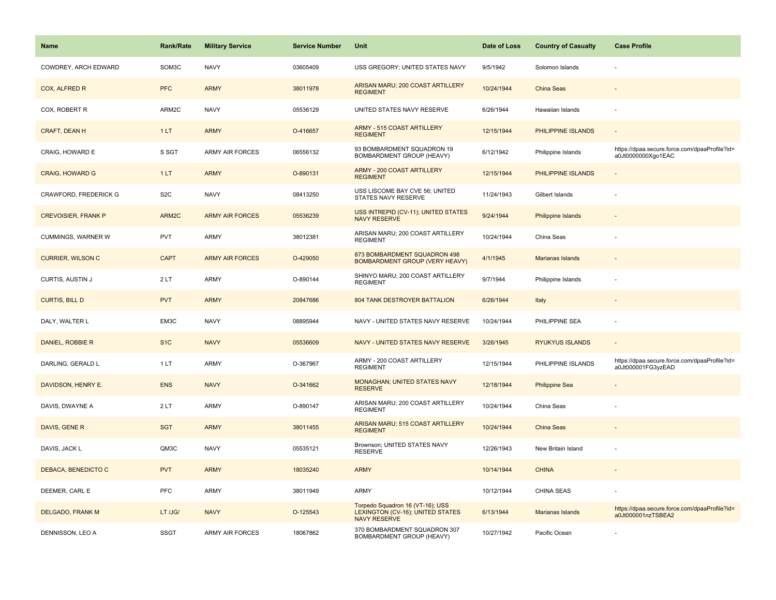| <b>Name</b>                | <b>Rank/Rate</b> | <b>Military Service</b> | <b>Service Number</b> | Unit                                                                                               | Date of Loss | <b>Country of Casualty</b> | <b>Case Profile</b>                                                 |
|----------------------------|------------------|-------------------------|-----------------------|----------------------------------------------------------------------------------------------------|--------------|----------------------------|---------------------------------------------------------------------|
| COWDREY, ARCH EDWARD       | SOM3C            | <b>NAVY</b>             | 03605409              | USS GREGORY; UNITED STATES NAVY                                                                    | 9/5/1942     | Solomon Islands            |                                                                     |
| COX, ALFRED R              | <b>PFC</b>       | <b>ARMY</b>             | 38011978              | ARISAN MARU; 200 COAST ARTILLERY<br><b>REGIMENT</b>                                                | 10/24/1944   | China Seas                 |                                                                     |
| COX, ROBERT R              | ARM2C            | <b>NAVY</b>             | 05536129              | UNITED STATES NAVY RESERVE                                                                         | 6/26/1944    | Hawaiian Islands           |                                                                     |
| CRAFT, DEAN H              | 1LT              | <b>ARMY</b>             | O-416657              | <b>ARMY - 515 COAST ARTILLERY</b><br><b>REGIMENT</b>                                               | 12/15/1944   | PHILIPPINE ISLANDS         |                                                                     |
| CRAIG, HOWARD E            | S SGT            | <b>ARMY AIR FORCES</b>  | 06556132              | 93 BOMBARDMENT SQUADRON 19<br>BOMBARDMENT GROUP (HEAVY)                                            | 6/12/1942    | Philippine Islands         | https://dpaa.secure.force.com/dpaaProfile?id=<br>a0Jt0000000Xgo1EAC |
| <b>CRAIG, HOWARD G</b>     | 1LT              | <b>ARMY</b>             | O-890131              | <b>ARMY - 200 COAST ARTILLERY</b><br><b>REGIMENT</b>                                               | 12/15/1944   | PHILIPPINE ISLANDS         | $\blacksquare$                                                      |
| CRAWFORD, FREDERICK G      | S <sub>2</sub> C | <b>NAVY</b>             | 08413250              | USS LISCOME BAY CVE 56; UNITED<br>STATES NAVY RESERVE                                              | 11/24/1943   | Gilbert Islands            |                                                                     |
| <b>CREVOISIER, FRANK P</b> | ARM2C            | <b>ARMY AIR FORCES</b>  | 05536239              | USS INTREPID (CV-11); UNITED STATES<br><b>NAVY RESERVE</b>                                         | 9/24/1944    | <b>Philippine Islands</b>  |                                                                     |
| CUMMINGS, WARNER W         | PVT              | <b>ARMY</b>             | 38012381              | ARISAN MARU; 200 COAST ARTILLERY<br><b>REGIMENT</b>                                                | 10/24/1944   | China Seas                 |                                                                     |
| <b>CURRIER, WILSON C</b>   | <b>CAPT</b>      | <b>ARMY AIR FORCES</b>  | O-429050              | 873 BOMBARDMENT SQUADRON 498<br><b>BOMBARDMENT GROUP (VERY HEAVY)</b>                              | 4/1/1945     | <b>Marianas Islands</b>    |                                                                     |
| CURTIS, AUSTIN J           | 2LT              | <b>ARMY</b>             | O-890144              | SHINYO MARU; 200 COAST ARTILLERY<br><b>REGIMENT</b>                                                | 9/7/1944     | Philippine Islands         |                                                                     |
| <b>CURTIS, BILL D</b>      | <b>PVT</b>       | <b>ARMY</b>             | 20847686              | 804 TANK DESTROYER BATTALION                                                                       | 6/26/1944    | Italy                      |                                                                     |
| DALY, WALTER L             | EM3C             | <b>NAVY</b>             | 08895944              | NAVY - UNITED STATES NAVY RESERVE                                                                  | 10/24/1944   | PHILIPPINE SEA             |                                                                     |
| DANIEL, ROBBIE R           | S <sub>1</sub> C | <b>NAVY</b>             | 05536609              | NAVY - UNITED STATES NAVY RESERVE                                                                  | 3/26/1945    | <b>RYUKYUS ISLANDS</b>     | $\sim$                                                              |
| DARLING, GERALD L          | 1LT              | <b>ARMY</b>             | O-367967              | ARMY - 200 COAST ARTILLERY<br><b>REGIMENT</b>                                                      | 12/15/1944   | PHILIPPINE ISLANDS         | https://dpaa.secure.force.com/dpaaProfile?id=<br>a0Jt000001FG3yzEAD |
| DAVIDSON, HENRY E.         | <b>ENS</b>       | <b>NAVY</b>             | O-341662              | <b>MONAGHAN; UNITED STATES NAVY</b><br><b>RESERVE</b>                                              | 12/18/1944   | <b>Philippine Sea</b>      |                                                                     |
| DAVIS, DWAYNE A            | 2LT              | <b>ARMY</b>             | O-890147              | ARISAN MARU; 200 COAST ARTILLERY<br><b>REGIMENT</b>                                                | 10/24/1944   | China Seas                 |                                                                     |
| DAVIS, GENE R              | <b>SGT</b>       | <b>ARMY</b>             | 38011455              | ARISAN MARU; 515 COAST ARTILLERY<br><b>REGIMENT</b>                                                | 10/24/1944   | <b>China Seas</b>          |                                                                     |
| DAVIS, JACK L              | QM3C             | <b>NAVY</b>             | 05535121              | Brownson; UNITED STATES NAVY<br><b>RESERVE</b>                                                     | 12/26/1943   | New Britain Island         |                                                                     |
| DEBACA, BENEDICTO C        | <b>PVT</b>       | <b>ARMY</b>             | 18035240              | <b>ARMY</b>                                                                                        | 10/14/1944   | <b>CHINA</b>               |                                                                     |
| DEEMER, CARL E             | PFC              | <b>ARMY</b>             | 38011949              | <b>ARMY</b>                                                                                        | 10/12/1944   | <b>CHINA SEAS</b>          |                                                                     |
| DELGADO, FRANK M           | LT /JG/          | <b>NAVY</b>             | O-125543              | Torpedo Squadron 16 (VT-16); USS<br><b>LEXINGTON (CV-16); UNITED STATES</b><br><b>NAVY RESERVE</b> | 6/13/1944    | Marianas Islands           | https://dpaa.secure.force.com/dpaaProfile?id=<br>a0Jt000001nzTSBEA2 |
| DENNISSON, LEO A           | <b>SSGT</b>      | ARMY AIR FORCES         | 18067862              | 370 BOMBARDMENT SQUADRON 307<br>BOMBARDMENT GROUP (HEAVY)                                          | 10/27/1942   | Pacific Ocean              |                                                                     |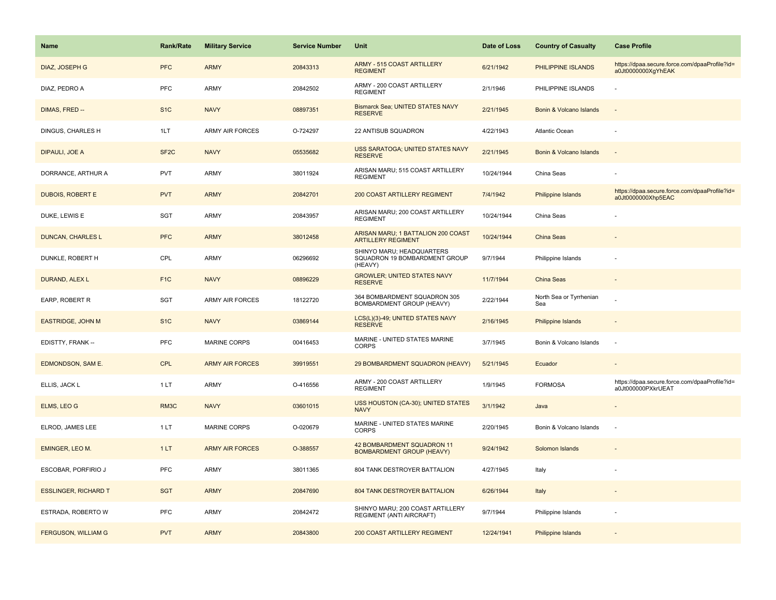| Name                        | <b>Rank/Rate</b>  | <b>Military Service</b> | <b>Service Number</b> | Unit                                                                  | Date of Loss | <b>Country of Casualty</b>     | <b>Case Profile</b>                                                 |
|-----------------------------|-------------------|-------------------------|-----------------------|-----------------------------------------------------------------------|--------------|--------------------------------|---------------------------------------------------------------------|
| DIAZ, JOSEPH G              | <b>PFC</b>        | <b>ARMY</b>             | 20843313              | <b>ARMY - 515 COAST ARTILLERY</b><br><b>REGIMENT</b>                  | 6/21/1942    | PHILIPPINE ISLANDS             | https://dpaa.secure.force.com/dpaaProfile?id=<br>a0Jt0000000XgYhEAK |
| DIAZ, PEDRO A               | PFC               | ARMY                    | 20842502              | ARMY - 200 COAST ARTILLERY<br><b>REGIMENT</b>                         | 2/1/1946     | PHILIPPINE ISLANDS             |                                                                     |
| DIMAS, FRED --              | S <sub>1</sub> C  | <b>NAVY</b>             | 08897351              | Bismarck Sea; UNITED STATES NAVY<br><b>RESERVE</b>                    | 2/21/1945    | Bonin & Volcano Islands        |                                                                     |
| DINGUS, CHARLES H           | 1LT               | <b>ARMY AIR FORCES</b>  | O-724297              | 22 ANTISUB SQUADRON                                                   | 4/22/1943    | <b>Atlantic Ocean</b>          |                                                                     |
| DIPAULI, JOE A              | SF <sub>2</sub> C | <b>NAVY</b>             | 05535682              | USS SARATOGA; UNITED STATES NAVY<br><b>RESERVE</b>                    | 2/21/1945    | Bonin & Volcano Islands        |                                                                     |
| DORRANCE, ARTHUR A          | <b>PVT</b>        | <b>ARMY</b>             | 38011924              | ARISAN MARU; 515 COAST ARTILLERY<br><b>REGIMENT</b>                   | 10/24/1944   | China Seas                     |                                                                     |
| <b>DUBOIS, ROBERT E</b>     | <b>PVT</b>        | <b>ARMY</b>             | 20842701              | 200 COAST ARTILLERY REGIMENT                                          | 7/4/1942     | Philippine Islands             | https://dpaa.secure.force.com/dpaaProfile?id=<br>a0Jt0000000Xhp5EAC |
| DUKE, LEWIS E               | <b>SGT</b>        | <b>ARMY</b>             | 20843957              | ARISAN MARU; 200 COAST ARTILLERY<br><b>REGIMENT</b>                   | 10/24/1944   | China Seas                     |                                                                     |
| <b>DUNCAN, CHARLES L</b>    | <b>PFC</b>        | <b>ARMY</b>             | 38012458              | ARISAN MARU; 1 BATTALION 200 COAST<br><b>ARTILLERY REGIMENT</b>       | 10/24/1944   | <b>China Seas</b>              |                                                                     |
| DUNKLE, ROBERT H            | CPL               | <b>ARMY</b>             | 06296692              | SHINYO MARU; HEADQUARTERS<br>SQUADRON 19 BOMBARDMENT GROUP<br>(HEAVY) | 9/7/1944     | Philippine Islands             |                                                                     |
| <b>DURAND, ALEX L</b>       | F <sub>1C</sub>   | <b>NAVY</b>             | 08896229              | <b>GROWLER; UNITED STATES NAVY</b><br><b>RESERVE</b>                  | 11/7/1944    | China Seas                     |                                                                     |
| EARP, ROBERT R              | <b>SGT</b>        | <b>ARMY AIR FORCES</b>  | 18122720              | 364 BOMBARDMENT SQUADRON 305<br>BOMBARDMENT GROUP (HEAVY)             | 2/22/1944    | North Sea or Tyrrhenian<br>Sea |                                                                     |
| <b>EASTRIDGE, JOHN M</b>    | S <sub>1C</sub>   | <b>NAVY</b>             | 03869144              | LCS(L)(3)-49; UNITED STATES NAVY<br><b>RESERVE</b>                    | 2/16/1945    | Philippine Islands             |                                                                     |
| EDISTTY, FRANK --           | <b>PFC</b>        | <b>MARINE CORPS</b>     | 00416453              | MARINE - UNITED STATES MARINE<br><b>CORPS</b>                         | 3/7/1945     | Bonin & Volcano Islands        | $\sim$                                                              |
| EDMONDSON, SAM E.           | <b>CPL</b>        | <b>ARMY AIR FORCES</b>  | 39919551              | 29 BOMBARDMENT SQUADRON (HEAVY)                                       | 5/21/1945    | Ecuador                        |                                                                     |
| ELLIS, JACK L               | 1 LT              | <b>ARMY</b>             | O-416556              | ARMY - 200 COAST ARTILLERY<br><b>REGIMENT</b>                         | 1/9/1945     | <b>FORMOSA</b>                 | https://dpaa.secure.force.com/dpaaProfile?id=<br>a0Jt000000PXkrUEAT |
| ELMS, LEO G                 | RM3C              | <b>NAVY</b>             | 03601015              | USS HOUSTON (CA-30); UNITED STATES<br><b>NAVY</b>                     | 3/1/1942     | Java                           |                                                                     |
| ELROD, JAMES LEE            | 1LT               | <b>MARINE CORPS</b>     | O-020679              | MARINE - UNITED STATES MARINE<br><b>CORPS</b>                         | 2/20/1945    | Bonin & Volcano Islands        |                                                                     |
| EMINGER, LEO M.             | 1LT               | <b>ARMY AIR FORCES</b>  | O-388557              | 42 BOMBARDMENT SQUADRON 11<br><b>BOMBARDMENT GROUP (HEAVY)</b>        | 9/24/1942    | Solomon Islands                |                                                                     |
| ESCOBAR, PORFIRIO J         | <b>PFC</b>        | <b>ARMY</b>             | 38011365              | 804 TANK DESTROYER BATTALION                                          | 4/27/1945    | Italy                          |                                                                     |
| <b>ESSLINGER, RICHARD T</b> | <b>SGT</b>        | <b>ARMY</b>             | 20847690              | 804 TANK DESTROYER BATTALION                                          | 6/26/1944    | Italy                          |                                                                     |
| ESTRADA, ROBERTO W          | <b>PFC</b>        | <b>ARMY</b>             | 20842472              | SHINYO MARU; 200 COAST ARTILLERY<br>REGIMENT (ANTI AIRCRAFT)          | 9/7/1944     | Philippine Islands             |                                                                     |
| <b>FERGUSON, WILLIAM G</b>  | <b>PVT</b>        | <b>ARMY</b>             | 20843800              | 200 COAST ARTILLERY REGIMENT                                          | 12/24/1941   | Philippine Islands             |                                                                     |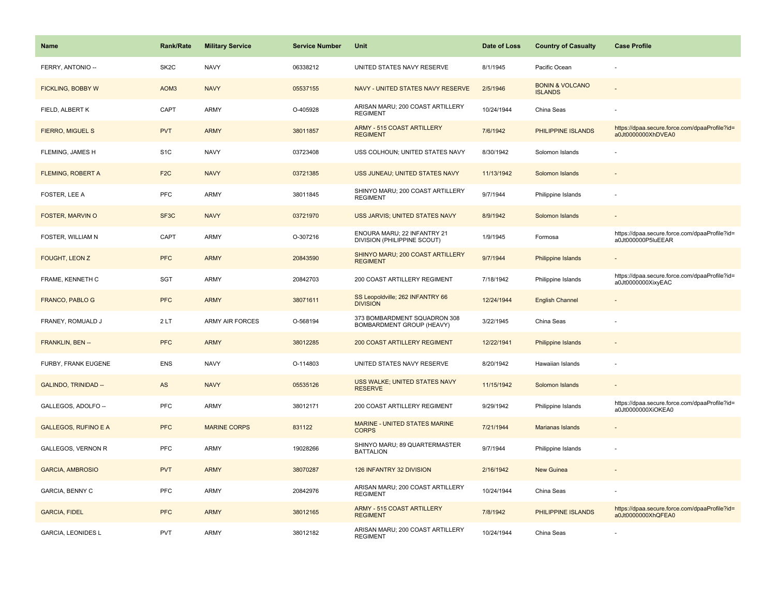| <b>Name</b>                 | <b>Rank/Rate</b>  | <b>Military Service</b> | <b>Service Number</b> | Unit                                                       | Date of Loss | <b>Country of Casualty</b>                   | <b>Case Profile</b>                                                 |
|-----------------------------|-------------------|-------------------------|-----------------------|------------------------------------------------------------|--------------|----------------------------------------------|---------------------------------------------------------------------|
| FERRY, ANTONIO --           | SK <sub>2</sub> C | <b>NAVY</b>             | 06338212              | UNITED STATES NAVY RESERVE                                 | 8/1/1945     | Pacific Ocean                                |                                                                     |
| <b>FICKLING, BOBBY W</b>    | AOM <sub>3</sub>  | <b>NAVY</b>             | 05537155              | NAVY - UNITED STATES NAVY RESERVE                          | 2/5/1946     | <b>BONIN &amp; VOLCANO</b><br><b>ISLANDS</b> |                                                                     |
| FIELD, ALBERT K             | CAPT              | <b>ARMY</b>             | O-405928              | ARISAN MARU; 200 COAST ARTILLERY<br><b>REGIMENT</b>        | 10/24/1944   | China Seas                                   |                                                                     |
| FIERRO, MIGUEL S            | <b>PVT</b>        | <b>ARMY</b>             | 38011857              | <b>ARMY - 515 COAST ARTILLERY</b><br><b>REGIMENT</b>       | 7/6/1942     | PHILIPPINE ISLANDS                           | https://dpaa.secure.force.com/dpaaProfile?id=<br>a0Jt0000000XhDVEA0 |
| FLEMING, JAMES H            | S <sub>1</sub> C  | <b>NAVY</b>             | 03723408              | USS COLHOUN; UNITED STATES NAVY                            | 8/30/1942    | Solomon Islands                              |                                                                     |
| <b>FLEMING, ROBERT A</b>    | F <sub>2</sub> C  | <b>NAVY</b>             | 03721385              | USS JUNEAU; UNITED STATES NAVY                             | 11/13/1942   | Solomon Islands                              |                                                                     |
| FOSTER, LEE A               | <b>PFC</b>        | ARMY                    | 38011845              | SHINYO MARU; 200 COAST ARTILLERY<br><b>REGIMENT</b>        | 9/7/1944     | Philippine Islands                           | ÷                                                                   |
| <b>FOSTER, MARVIN O</b>     | SF <sub>3</sub> C | <b>NAVY</b>             | 03721970              | USS JARVIS; UNITED STATES NAVY                             | 8/9/1942     | Solomon Islands                              |                                                                     |
| FOSTER, WILLIAM N           | CAPT              | ARMY                    | O-307216              | ENOURA MARU; 22 INFANTRY 21<br>DIVISION (PHILIPPINE SCOUT) | 1/9/1945     | Formosa                                      | https://dpaa.secure.force.com/dpaaProfile?id=<br>a0Jt000000P5luEEAR |
| FOUGHT, LEON Z              | <b>PFC</b>        | <b>ARMY</b>             | 20843590              | SHINYO MARU; 200 COAST ARTILLERY<br><b>REGIMENT</b>        | 9/7/1944     | Philippine Islands                           |                                                                     |
| FRAME, KENNETH C            | SGT               | <b>ARMY</b>             | 20842703              | 200 COAST ARTILLERY REGIMENT                               | 7/18/1942    | Philippine Islands                           | https://dpaa.secure.force.com/dpaaProfile?id=<br>a0Jt0000000XixyEAC |
| FRANCO, PABLO G             | <b>PFC</b>        | <b>ARMY</b>             | 38071611              | SS Leopoldville; 262 INFANTRY 66<br><b>DIVISION</b>        | 12/24/1944   | <b>English Channel</b>                       |                                                                     |
| FRANEY, ROMUALD J           | 2LT               | <b>ARMY AIR FORCES</b>  | O-568194              | 373 BOMBARDMENT SQUADRON 308<br>BOMBARDMENT GROUP (HEAVY)  | 3/22/1945    | China Seas                                   |                                                                     |
| FRANKLIN, BEN --            | <b>PFC</b>        | <b>ARMY</b>             | 38012285              | 200 COAST ARTILLERY REGIMENT                               | 12/22/1941   | <b>Philippine Islands</b>                    |                                                                     |
| FURBY, FRANK EUGENE         | ENS               | <b>NAVY</b>             | O-114803              | UNITED STATES NAVY RESERVE                                 | 8/20/1942    | Hawaiian Islands                             | ÷,                                                                  |
| <b>GALINDO, TRINIDAD --</b> | AS                | <b>NAVY</b>             | 05535126              | USS WALKE; UNITED STATES NAVY<br><b>RESERVE</b>            | 11/15/1942   | Solomon Islands                              | $\overline{\phantom{a}}$                                            |
| GALLEGOS, ADOLFO --         | <b>PFC</b>        | <b>ARMY</b>             | 38012171              | 200 COAST ARTILLERY REGIMENT                               | 9/29/1942    | Philippine Islands                           | https://dpaa.secure.force.com/dpaaProfile?id=<br>a0Jt0000000XiOKEA0 |
| <b>GALLEGOS, RUFINO E A</b> | <b>PFC</b>        | <b>MARINE CORPS</b>     | 831122                | MARINE - UNITED STATES MARINE<br><b>CORPS</b>              | 7/21/1944    | Marianas Islands                             |                                                                     |
| <b>GALLEGOS, VERNON R</b>   | PFC               | ARMY                    | 19028266              | SHINYO MARU; 89 QUARTERMASTER<br><b>BATTALION</b>          | 9/7/1944     | Philippine Islands                           | $\overline{\phantom{a}}$                                            |
| <b>GARCIA, AMBROSIO</b>     | <b>PVT</b>        | <b>ARMY</b>             | 38070287              | 126 INFANTRY 32 DIVISION                                   | 2/16/1942    | <b>New Guinea</b>                            |                                                                     |
| <b>GARCIA, BENNY C</b>      | PFC               | ARMY                    | 20842976              | ARISAN MARU; 200 COAST ARTILLERY<br><b>REGIMENT</b>        | 10/24/1944   | China Seas                                   |                                                                     |
| <b>GARCIA, FIDEL</b>        | <b>PFC</b>        | <b>ARMY</b>             | 38012165              | <b>ARMY - 515 COAST ARTILLERY</b><br><b>REGIMENT</b>       | 7/8/1942     | PHILIPPINE ISLANDS                           | https://dpaa.secure.force.com/dpaaProfile?id=<br>a0Jt0000000XhQFEA0 |
| <b>GARCIA, LEONIDES L</b>   | <b>PVT</b>        | <b>ARMY</b>             | 38012182              | ARISAN MARU; 200 COAST ARTILLERY<br><b>REGIMENT</b>        | 10/24/1944   | China Seas                                   |                                                                     |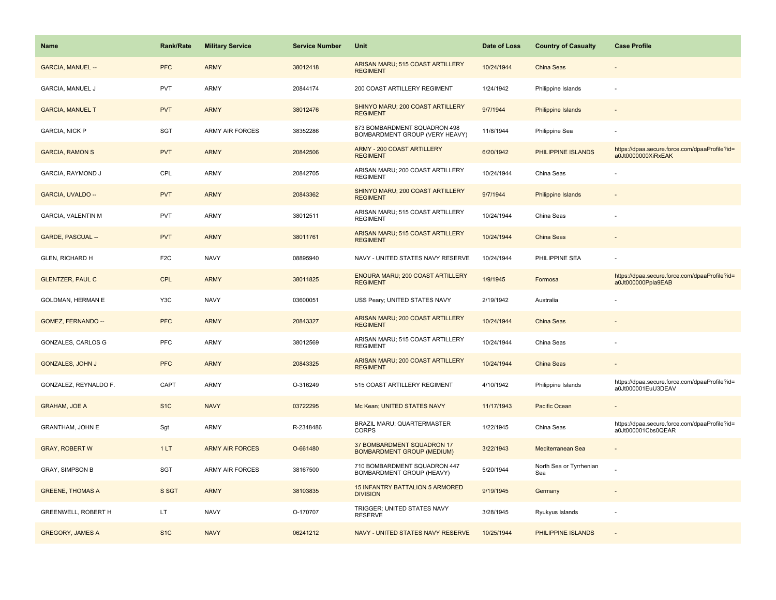| <b>Name</b>               | <b>Rank/Rate</b> | <b>Military Service</b> | <b>Service Number</b> | Unit                                                            | Date of Loss | <b>Country of Casualty</b>     | <b>Case Profile</b>                                                 |
|---------------------------|------------------|-------------------------|-----------------------|-----------------------------------------------------------------|--------------|--------------------------------|---------------------------------------------------------------------|
| <b>GARCIA, MANUEL --</b>  | <b>PFC</b>       | <b>ARMY</b>             | 38012418              | ARISAN MARU; 515 COAST ARTILLERY<br><b>REGIMENT</b>             | 10/24/1944   | China Seas                     |                                                                     |
| <b>GARCIA, MANUEL J</b>   | <b>PVT</b>       | ARMY                    | 20844174              | 200 COAST ARTILLERY REGIMENT                                    | 1/24/1942    | Philippine Islands             |                                                                     |
| <b>GARCIA, MANUEL T</b>   | <b>PVT</b>       | <b>ARMY</b>             | 38012476              | SHINYO MARU; 200 COAST ARTILLERY<br><b>REGIMENT</b>             | 9/7/1944     | <b>Philippine Islands</b>      |                                                                     |
| <b>GARCIA, NICK P</b>     | <b>SGT</b>       | <b>ARMY AIR FORCES</b>  | 38352286              | 873 BOMBARDMENT SQUADRON 498<br>BOMBARDMENT GROUP (VERY HEAVY)  | 11/8/1944    | Philippine Sea                 |                                                                     |
| <b>GARCIA, RAMON S</b>    | <b>PVT</b>       | <b>ARMY</b>             | 20842506              | <b>ARMY - 200 COAST ARTILLERY</b><br><b>REGIMENT</b>            | 6/20/1942    | PHILIPPINE ISLANDS             | https://dpaa.secure.force.com/dpaaProfile?id=<br>a0Jt0000000XiRxEAK |
| GARCIA, RAYMOND J         | CPL              | ARMY                    | 20842705              | ARISAN MARU; 200 COAST ARTILLERY<br><b>REGIMENT</b>             | 10/24/1944   | China Seas                     |                                                                     |
| GARCIA, UVALDO --         | <b>PVT</b>       | <b>ARMY</b>             | 20843362              | SHINYO MARU; 200 COAST ARTILLERY<br><b>REGIMENT</b>             | 9/7/1944     | Philippine Islands             |                                                                     |
| <b>GARCIA, VALENTIN M</b> | <b>PVT</b>       | ARMY                    | 38012511              | ARISAN MARU; 515 COAST ARTILLERY<br><b>REGIMENT</b>             | 10/24/1944   | China Seas                     |                                                                     |
| <b>GARDE, PASCUAL --</b>  | <b>PVT</b>       | <b>ARMY</b>             | 38011761              | ARISAN MARU; 515 COAST ARTILLERY<br><b>REGIMENT</b>             | 10/24/1944   | China Seas                     |                                                                     |
| GLEN, RICHARD H           | F <sub>2</sub> C | <b>NAVY</b>             | 08895940              | NAVY - UNITED STATES NAVY RESERVE                               | 10/24/1944   | PHILIPPINE SEA                 |                                                                     |
| <b>GLENTZER, PAUL C</b>   | <b>CPL</b>       | <b>ARMY</b>             | 38011825              | ENOURA MARU; 200 COAST ARTILLERY<br><b>REGIMENT</b>             | 1/9/1945     | Formosa                        | https://dpaa.secure.force.com/dpaaProfile?id=<br>a0Jt000000Ppla9EAB |
| GOLDMAN, HERMAN E         | Y3C              | <b>NAVY</b>             | 03600051              | USS Peary; UNITED STATES NAVY                                   | 2/19/1942    | Australia                      |                                                                     |
| GOMEZ, FERNANDO --        | <b>PFC</b>       | <b>ARMY</b>             | 20843327              | ARISAN MARU; 200 COAST ARTILLERY<br><b>REGIMENT</b>             | 10/24/1944   | China Seas                     |                                                                     |
| GONZALES, CARLOS G        | PFC              | <b>ARMY</b>             | 38012569              | ARISAN MARU; 515 COAST ARTILLERY<br><b>REGIMENT</b>             | 10/24/1944   | China Seas                     |                                                                     |
| <b>GONZALES, JOHN J</b>   | <b>PFC</b>       | <b>ARMY</b>             | 20843325              | ARISAN MARU; 200 COAST ARTILLERY<br><b>REGIMENT</b>             | 10/24/1944   | China Seas                     |                                                                     |
| GONZALEZ, REYNALDO F.     | CAPT             | ARMY                    | O-316249              | 515 COAST ARTILLERY REGIMENT                                    | 4/10/1942    | Philippine Islands             | https://dpaa.secure.force.com/dpaaProfile?id=<br>a0Jt000001EuU3DEAV |
| <b>GRAHAM, JOE A</b>      | S <sub>1</sub> C | <b>NAVY</b>             | 03722295              | Mc Kean; UNITED STATES NAVY                                     | 11/17/1943   | Pacific Ocean                  |                                                                     |
| GRANTHAM, JOHN E          | Sgt              | <b>ARMY</b>             | R-2348486             | BRAZIL MARU; QUARTERMASTER<br><b>CORPS</b>                      | 1/22/1945    | China Seas                     | https://dpaa.secure.force.com/dpaaProfile?id=<br>a0Jt000001Cbs0QEAR |
| <b>GRAY, ROBERT W</b>     | 1LT              | <b>ARMY AIR FORCES</b>  | O-661480              | 37 BOMBARDMENT SQUADRON 17<br><b>BOMBARDMENT GROUP (MEDIUM)</b> | 3/22/1943    | Mediterranean Sea              |                                                                     |
| <b>GRAY, SIMPSON B</b>    | <b>SGT</b>       | ARMY AIR FORCES         | 38167500              | 710 BOMBARDMENT SQUADRON 447<br>BOMBARDMENT GROUP (HEAVY)       | 5/20/1944    | North Sea or Tyrrhenian<br>Sea |                                                                     |
| <b>GREENE, THOMAS A</b>   | S SGT            | <b>ARMY</b>             | 38103835              | 15 INFANTRY BATTALION 5 ARMORED<br><b>DIVISION</b>              | 9/19/1945    | Germany                        |                                                                     |
| GREENWELL, ROBERT H       | LT.              | <b>NAVY</b>             | O-170707              | TRIGGER; UNITED STATES NAVY<br><b>RESERVE</b>                   | 3/28/1945    | Ryukyus Islands                |                                                                     |
| <b>GREGORY, JAMES A</b>   | S <sub>1C</sub>  | <b>NAVY</b>             | 06241212              | NAVY - UNITED STATES NAVY RESERVE                               | 10/25/1944   | PHILIPPINE ISLANDS             |                                                                     |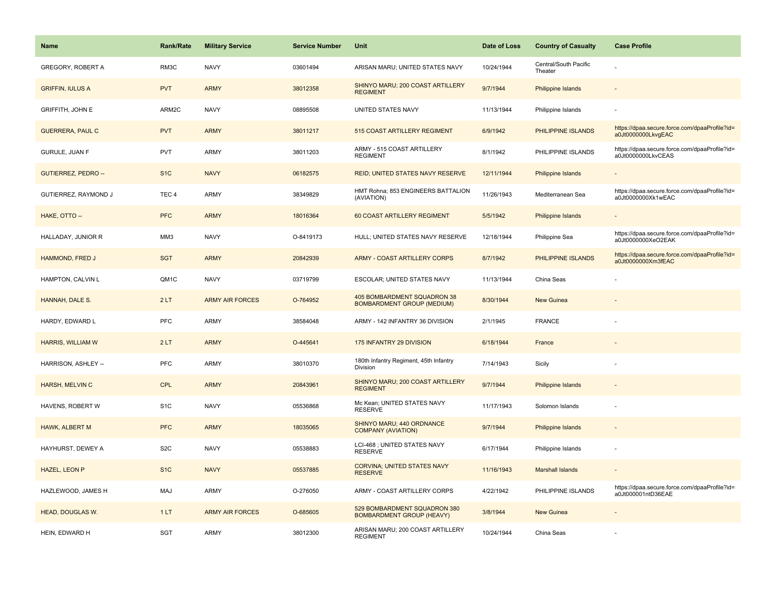| <b>Name</b>                | <b>Rank/Rate</b> | <b>Military Service</b> | <b>Service Number</b> | Unit                                                             | Date of Loss | <b>Country of Casualty</b>       | <b>Case Profile</b>                                                 |
|----------------------------|------------------|-------------------------|-----------------------|------------------------------------------------------------------|--------------|----------------------------------|---------------------------------------------------------------------|
| <b>GREGORY, ROBERT A</b>   | RM3C             | <b>NAVY</b>             | 03601494              | ARISAN MARU; UNITED STATES NAVY                                  | 10/24/1944   | Central/South Pacific<br>Theater |                                                                     |
| <b>GRIFFIN, IULUS A</b>    | <b>PVT</b>       | <b>ARMY</b>             | 38012358              | SHINYO MARU; 200 COAST ARTILLERY<br><b>REGIMENT</b>              | 9/7/1944     | <b>Philippine Islands</b>        |                                                                     |
| <b>GRIFFITH, JOHN E</b>    | ARM2C            | <b>NAVY</b>             | 08895508              | UNITED STATES NAVY                                               | 11/13/1944   | Philippine Islands               |                                                                     |
| <b>GUERRERA, PAUL C</b>    | <b>PVT</b>       | <b>ARMY</b>             | 38011217              | 515 COAST ARTILLERY REGIMENT                                     | 6/9/1942     | PHILIPPINE ISLANDS               | https://dpaa.secure.force.com/dpaaProfile?id=<br>a0Jt0000000LkvgEAC |
| <b>GURULE, JUAN F</b>      | <b>PVT</b>       | ARMY                    | 38011203              | ARMY - 515 COAST ARTILLERY<br><b>REGIMENT</b>                    | 8/1/1942     | PHILIPPINE ISLANDS               | https://dpaa.secure.force.com/dpaaProfile?id=<br>a0Jt0000000LkvCEAS |
| <b>GUTIERREZ, PEDRO --</b> | S <sub>1</sub> C | <b>NAVY</b>             | 06182575              | REID; UNITED STATES NAVY RESERVE                                 | 12/11/1944   | <b>Philippine Islands</b>        | $\sim$                                                              |
| GUTIERREZ, RAYMOND J       | TEC <sub>4</sub> | <b>ARMY</b>             | 38349829              | HMT Rohna; 853 ENGINEERS BATTALION<br>(AVIATION)                 | 11/26/1943   | Mediterranean Sea                | https://dpaa.secure.force.com/dpaaProfile?id=<br>a0Jt0000000Xk1wEAC |
| HAKE, OTTO --              | <b>PFC</b>       | <b>ARMY</b>             | 18016364              | 60 COAST ARTILLERY REGIMENT                                      | 5/5/1942     | <b>Philippine Islands</b>        |                                                                     |
| HALLADAY, JUNIOR R         | MM3              | <b>NAVY</b>             | O-8419173             | HULL; UNITED STATES NAVY RESERVE                                 | 12/18/1944   | Philippine Sea                   | https://dpaa.secure.force.com/dpaaProfile?id=<br>a0Jt0000000XeO2EAK |
| HAMMOND, FRED J            | <b>SGT</b>       | <b>ARMY</b>             | 20842939              | <b>ARMY - COAST ARTILLERY CORPS</b>                              | 8/7/1942     | PHILIPPINE ISLANDS               | https://dpaa.secure.force.com/dpaaProfile?id=<br>a0Jt0000000Xm3fEAC |
| HAMPTON, CALVIN L          | QM1C             | <b>NAVY</b>             | 03719799              | ESCOLAR; UNITED STATES NAVY                                      | 11/13/1944   | China Seas                       |                                                                     |
| HANNAH, DALE S.            | 2LT              | <b>ARMY AIR FORCES</b>  | O-764952              | 405 BOMBARDMENT SQUADRON 38<br><b>BOMBARDMENT GROUP (MEDIUM)</b> | 8/30/1944    | <b>New Guinea</b>                |                                                                     |
| HARDY, EDWARD L            | PFC              | <b>ARMY</b>             | 38584048              | ARMY - 142 INFANTRY 36 DIVISION                                  | 2/1/1945     | <b>FRANCE</b>                    |                                                                     |
| <b>HARRIS, WILLIAM W</b>   | 2LT              | <b>ARMY</b>             | O-445641              | 175 INFANTRY 29 DIVISION                                         | 6/18/1944    | France                           |                                                                     |
| HARRISON, ASHLEY --        | PFC              | <b>ARMY</b>             | 38010370              | 180th Infantry Regiment, 45th Infantry<br>Division               | 7/14/1943    | Sicily                           |                                                                     |
| HARSH, MELVIN C            | <b>CPL</b>       | <b>ARMY</b>             | 20843961              | SHINYO MARU; 200 COAST ARTILLERY<br><b>REGIMENT</b>              | 9/7/1944     | <b>Philippine Islands</b>        |                                                                     |
| HAVENS, ROBERT W           | S <sub>1</sub> C | <b>NAVY</b>             | 05536868              | Mc Kean; UNITED STATES NAVY<br><b>RESERVE</b>                    | 11/17/1943   | Solomon Islands                  |                                                                     |
| HAWK, ALBERT M             | <b>PFC</b>       | <b>ARMY</b>             | 18035065              | SHINYO MARU; 440 ORDNANCE<br><b>COMPANY (AVIATION)</b>           | 9/7/1944     | <b>Philippine Islands</b>        |                                                                     |
| HAYHURST, DEWEY A          | S <sub>2</sub> C | <b>NAVY</b>             | 05538883              | LCI-468 ; UNITED STATES NAVY<br><b>RESERVE</b>                   | 6/17/1944    | Philippine Islands               |                                                                     |
| <b>HAZEL, LEON P</b>       | S <sub>1</sub> C | <b>NAVY</b>             | 05537885              | <b>CORVINA; UNITED STATES NAVY</b><br><b>RESERVE</b>             | 11/16/1943   | <b>Marshall Islands</b>          | $\sim$                                                              |
| HAZLEWOOD, JAMES H         | <b>MAJ</b>       | <b>ARMY</b>             | O-276050              | ARMY - COAST ARTILLERY CORPS                                     | 4/22/1942    | PHILIPPINE ISLANDS               | https://dpaa.secure.force.com/dpaaProfile?id=<br>a0Jt000001ntD36EAE |
| <b>HEAD, DOUGLAS W.</b>    | 1LT              | <b>ARMY AIR FORCES</b>  | O-685605              | 529 BOMBARDMENT SQUADRON 380<br><b>BOMBARDMENT GROUP (HEAVY)</b> | 3/8/1944     | <b>New Guinea</b>                |                                                                     |
| HEIN, EDWARD H             | SGT              | <b>ARMY</b>             | 38012300              | ARISAN MARU; 200 COAST ARTILLERY<br><b>REGIMENT</b>              | 10/24/1944   | China Seas                       |                                                                     |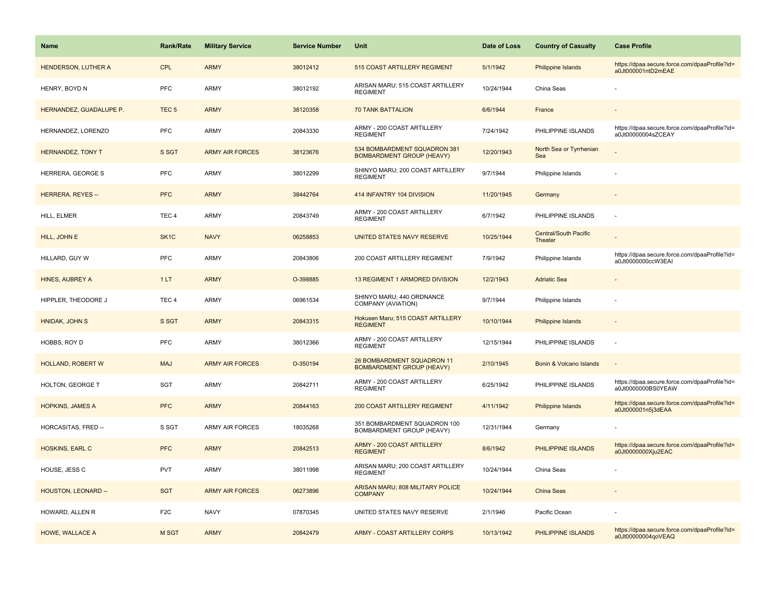| <b>Name</b>                | <b>Rank/Rate</b>  | <b>Military Service</b> | <b>Service Number</b> | Unit                                                             | Date of Loss | <b>Country of Casualty</b>              | <b>Case Profile</b>                                                 |
|----------------------------|-------------------|-------------------------|-----------------------|------------------------------------------------------------------|--------------|-----------------------------------------|---------------------------------------------------------------------|
| HENDERSON, LUTHER A        | <b>CPL</b>        | <b>ARMY</b>             | 38012412              | 515 COAST ARTILLERY REGIMENT                                     | 5/1/1942     | Philippine Islands                      | https://dpaa.secure.force.com/dpaaProfile?id=<br>a0Jt000001ntD2mEAE |
| HENRY, BOYD N              | PFC               | ARMY                    | 38012192              | ARISAN MARU; 515 COAST ARTILLERY<br><b>REGIMENT</b>              | 10/24/1944   | China Seas                              |                                                                     |
| HERNANDEZ, GUADALUPE P.    | TEC <sub>5</sub>  | <b>ARMY</b>             | 38120358              | <b>70 TANK BATTALION</b>                                         | 6/6/1944     | France                                  |                                                                     |
| HERNANDEZ, LORENZO         | <b>PFC</b>        | ARMY                    | 20843330              | ARMY - 200 COAST ARTILLERY<br><b>REGIMENT</b>                    | 7/24/1942    | PHILIPPINE ISLANDS                      | https://dpaa.secure.force.com/dpaaProfile?id=<br>a0Jt00000004sZCEAY |
| HERNANDEZ, TONY T          | S SGT             | <b>ARMY AIR FORCES</b>  | 38123676              | 534 BOMBARDMENT SQUADRON 381<br><b>BOMBARDMENT GROUP (HEAVY)</b> | 12/20/1943   | North Sea or Tyrrhenian<br>Sea          |                                                                     |
| HERRERA, GEORGE S          | <b>PFC</b>        | ARMY                    | 38012299              | SHINYO MARU; 200 COAST ARTILLERY<br><b>REGIMENT</b>              | 9/7/1944     | Philippine Islands                      |                                                                     |
| <b>HERRERA, REYES --</b>   | <b>PFC</b>        | <b>ARMY</b>             | 38442764              | 414 INFANTRY 104 DIVISION                                        | 11/20/1945   | Germany                                 |                                                                     |
| HILL, ELMER                | TEC <sub>4</sub>  | <b>ARMY</b>             | 20843749              | ARMY - 200 COAST ARTILLERY<br><b>REGIMENT</b>                    | 6/7/1942     | PHILIPPINE ISLANDS                      | $\sim$                                                              |
| HILL, JOHN E               | SK <sub>1</sub> C | <b>NAVY</b>             | 06258853              | UNITED STATES NAVY RESERVE                                       | 10/25/1944   | <b>Central/South Pacific</b><br>Theater |                                                                     |
| HILLARD, GUY W             | <b>PFC</b>        | ARMY                    | 20843806              | 200 COAST ARTILLERY REGIMENT                                     | 7/9/1942     | Philippine Islands                      | https://dpaa.secure.force.com/dpaaProfile?id=<br>a0Jt0000000ccW3EAI |
| <b>HINES, AUBREY A</b>     | 1LT               | <b>ARMY</b>             | O-398885              | 13 REGIMENT 1 ARMORED DIVISION                                   | 12/2/1943    | <b>Adriatic Sea</b>                     |                                                                     |
| HIPPLER, THEODORE J        | TEC <sub>4</sub>  | ARMY                    | 06961534              | SHINYO MARU; 440 ORDNANCE<br>COMPANY (AVIATION)                  | 9/7/1944     | Philippine Islands                      |                                                                     |
| HNIDAK, JOHN S             | S SGT             | <b>ARMY</b>             | 20843315              | Hokusen Maru; 515 COAST ARTILLERY<br><b>REGIMENT</b>             | 10/10/1944   | <b>Philippine Islands</b>               |                                                                     |
| HOBBS, ROY D               | <b>PFC</b>        | <b>ARMY</b>             | 38012366              | ARMY - 200 COAST ARTILLERY<br><b>REGIMENT</b>                    | 12/15/1944   | PHILIPPINE ISLANDS                      |                                                                     |
| <b>HOLLAND, ROBERT W</b>   | <b>MAJ</b>        | <b>ARMY AIR FORCES</b>  | O-350194              | 26 BOMBARDMENT SQUADRON 11<br><b>BOMBARDMENT GROUP (HEAVY)</b>   | 2/10/1945    | Bonin & Volcano Islands                 | $\sim$                                                              |
| HOLTON, GEORGE T           | <b>SGT</b>        | ARMY                    | 20842711              | ARMY - 200 COAST ARTILLERY<br><b>REGIMENT</b>                    | 6/25/1942    | PHILIPPINE ISLANDS                      | https://dpaa.secure.force.com/dpaaProfile?id=<br>a0Jt0000000BS0YEAW |
| <b>HOPKINS, JAMES A</b>    | <b>PFC</b>        | <b>ARMY</b>             | 20844163              | <b>200 COAST ARTILLERY REGIMENT</b>                              | 4/11/1942    | Philippine Islands                      | https://dpaa.secure.force.com/dpaaProfile?id=<br>a0Jt000001n5j3dEAA |
| HORCASITAS, FRED --        | S SGT             | <b>ARMY AIR FORCES</b>  | 18035268              | 351 BOMBARDMENT SQUADRON 100<br>BOMBARDMENT GROUP (HEAVY)        | 12/31/1944   | Germany                                 |                                                                     |
| <b>HOSKINS, EARL C</b>     | <b>PFC</b>        | <b>ARMY</b>             | 20842513              | <b>ARMY - 200 COAST ARTILLERY</b><br><b>REGIMENT</b>             | 8/6/1942     | PHILIPPINE ISLANDS                      | https://dpaa.secure.force.com/dpaaProfile?id=<br>a0Jt0000000Xju2EAC |
| HOUSE, JESS C              | <b>PVT</b>        | ARMY                    | 38011998              | ARISAN MARU; 200 COAST ARTILLERY<br><b>REGIMENT</b>              | 10/24/1944   | China Seas                              |                                                                     |
| <b>HOUSTON, LEONARD --</b> | <b>SGT</b>        | <b>ARMY AIR FORCES</b>  | 06273896              | ARISAN MARU; 808 MILITARY POLICE<br><b>COMPANY</b>               | 10/24/1944   | China Seas                              |                                                                     |
| HOWARD, ALLEN R            | F <sub>2</sub> C  | <b>NAVY</b>             | 07870345              | UNITED STATES NAVY RESERVE                                       | 2/1/1946     | Pacific Ocean                           |                                                                     |
| HOWE, WALLACE A            | M SGT             | <b>ARMY</b>             | 20842479              | <b>ARMY - COAST ARTILLERY CORPS</b>                              | 10/13/1942   | PHILIPPINE ISLANDS                      | https://dpaa.secure.force.com/dpaaProfile?id=<br>a0Jt00000004qoVEAQ |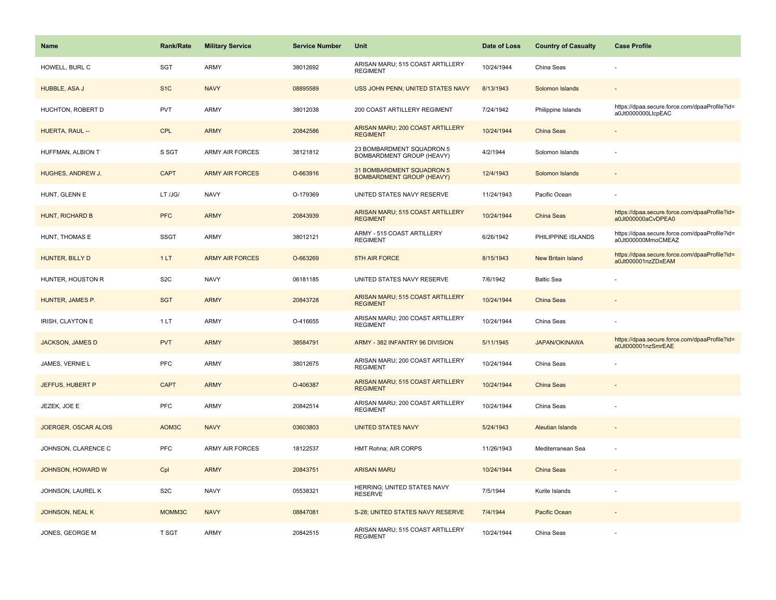| <b>Name</b>             | <b>Rank/Rate</b> | <b>Military Service</b> | <b>Service Number</b> | Unit                                                          | Date of Loss | <b>Country of Casualty</b> | <b>Case Profile</b>                                                 |
|-------------------------|------------------|-------------------------|-----------------------|---------------------------------------------------------------|--------------|----------------------------|---------------------------------------------------------------------|
| HOWELL, BURL C          | SGT              | ARMY                    | 38012692              | ARISAN MARU; 515 COAST ARTILLERY<br><b>REGIMENT</b>           | 10/24/1944   | China Seas                 |                                                                     |
| HUBBLE, ASA J           | S <sub>1C</sub>  | <b>NAVY</b>             | 08895589              | USS JOHN PENN; UNITED STATES NAVY                             | 8/13/1943    | Solomon Islands            |                                                                     |
| HUCHTON, ROBERT D       | <b>PVT</b>       | ARMY                    | 38012038              | 200 COAST ARTILLERY REGIMENT                                  | 7/24/1942    | Philippine Islands         | https://dpaa.secure.force.com/dpaaProfile?id=<br>a0Jt0000000LlcpEAC |
| HUERTA, RAUL --         | <b>CPL</b>       | <b>ARMY</b>             | 20842586              | ARISAN MARU; 200 COAST ARTILLERY<br><b>REGIMENT</b>           | 10/24/1944   | China Seas                 |                                                                     |
| HUFFMAN, ALBION T       | S SGT            | <b>ARMY AIR FORCES</b>  | 38121812              | 23 BOMBARDMENT SQUADRON 5<br>BOMBARDMENT GROUP (HEAVY)        | 4/2/1944     | Solomon Islands            |                                                                     |
| HUGHES, ANDREW J.       | <b>CAPT</b>      | <b>ARMY AIR FORCES</b>  | O-663916              | 31 BOMBARDMENT SQUADRON 5<br><b>BOMBARDMENT GROUP (HEAVY)</b> | 12/4/1943    | Solomon Islands            |                                                                     |
| HUNT, GLENN E           | LT /JG/          | <b>NAVY</b>             | O-179369              | UNITED STATES NAVY RESERVE                                    | 11/24/1943   | Pacific Ocean              |                                                                     |
| <b>HUNT, RICHARD B</b>  | <b>PFC</b>       | <b>ARMY</b>             | 20843939              | ARISAN MARU; 515 COAST ARTILLERY<br><b>REGIMENT</b>           | 10/24/1944   | <b>China Seas</b>          | https://dpaa.secure.force.com/dpaaProfile?id=<br>a0Jt000000aCvDPEA0 |
| HUNT, THOMAS E          | <b>SSGT</b>      | ARMY                    | 38012121              | ARMY - 515 COAST ARTILLERY<br><b>REGIMENT</b>                 | 6/26/1942    | PHILIPPINE ISLANDS         | https://dpaa.secure.force.com/dpaaProfile?id=<br>a0Jt000000MmoCMEAZ |
| HUNTER, BILLY D         | 1LT              | <b>ARMY AIR FORCES</b>  | O-663269              | 5TH AIR FORCE                                                 | 8/15/1943    | New Britain Island         | https://dpaa.secure.force.com/dpaaProfile?id=<br>a0Jt000001nzZDxEAM |
| HUNTER, HOUSTON R       | S <sub>2</sub> C | <b>NAVY</b>             | 06181185              | UNITED STATES NAVY RESERVE                                    | 7/6/1942     | <b>Baltic Sea</b>          |                                                                     |
| HUNTER, JAMES P.        | <b>SGT</b>       | <b>ARMY</b>             | 20843728              | ARISAN MARU; 515 COAST ARTILLERY<br><b>REGIMENT</b>           | 10/24/1944   | China Seas                 |                                                                     |
| IRISH, CLAYTON E        | 1LT              | ARMY                    | O-416655              | ARISAN MARU; 200 COAST ARTILLERY<br><b>REGIMENT</b>           | 10/24/1944   | China Seas                 |                                                                     |
| <b>JACKSON, JAMES D</b> | <b>PVT</b>       | <b>ARMY</b>             | 38584791              | ARMY - 382 INFANTRY 96 DIVISION                               | 5/11/1945    | <b>JAPAN/OKINAWA</b>       | https://dpaa.secure.force.com/dpaaProfile?id=<br>a0Jt000001nzSmrEAE |
| JAMES, VERNIE L         | PFC              | <b>ARMY</b>             | 38012675              | ARISAN MARU; 200 COAST ARTILLERY<br><b>REGIMENT</b>           | 10/24/1944   | China Seas                 |                                                                     |
| JEFFUS, HUBERT P        | <b>CAPT</b>      | <b>ARMY</b>             | O-406387              | ARISAN MARU; 515 COAST ARTILLERY<br><b>REGIMENT</b>           | 10/24/1944   | <b>China Seas</b>          |                                                                     |
| JEZEK, JOE E            | PFC              | ARMY                    | 20842514              | ARISAN MARU; 200 COAST ARTILLERY<br><b>REGIMENT</b>           | 10/24/1944   | China Seas                 |                                                                     |
| JOERGER, OSCAR ALOIS    | AOM3C            | <b>NAVY</b>             | 03603803              | <b>UNITED STATES NAVY</b>                                     | 5/24/1943    | <b>Aleutian Islands</b>    |                                                                     |
| JOHNSON, CLARENCE C     | PFC              | ARMY AIR FORCES         | 18122537              | HMT Rohna; AIR CORPS                                          | 11/26/1943   | Mediterranean Sea          |                                                                     |
| JOHNSON, HOWARD W       | Cpl              | <b>ARMY</b>             | 20843751              | <b>ARISAN MARU</b>                                            | 10/24/1944   | China Seas                 |                                                                     |
| JOHNSON, LAUREL K       | S <sub>2</sub> C | <b>NAVY</b>             | 05538321              | HERRING; UNITED STATES NAVY<br><b>RESERVE</b>                 | 7/5/1944     | Kurile Islands             |                                                                     |
| <b>JOHNSON, NEAL K</b>  | MOMM3C           | <b>NAVY</b>             | 08847081              | S-28; UNITED STATES NAVY RESERVE                              | 7/4/1944     | Pacific Ocean              |                                                                     |
| JONES, GEORGE M         | T SGT            | ARMY                    | 20842515              | ARISAN MARU; 515 COAST ARTILLERY<br><b>REGIMENT</b>           | 10/24/1944   | China Seas                 |                                                                     |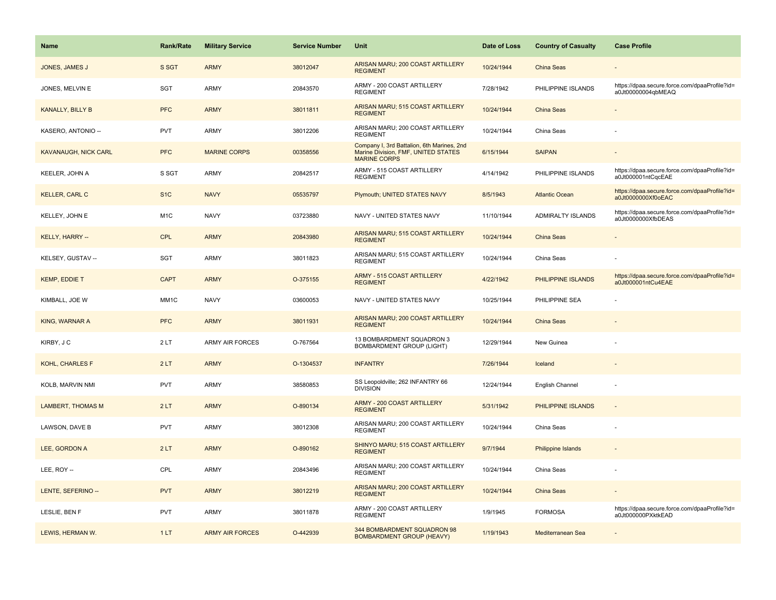| <b>Name</b>                 | Rank/Rate         | <b>Military Service</b> | <b>Service Number</b> | Unit                                                                                                     | Date of Loss | <b>Country of Casualty</b> | <b>Case Profile</b>                                                 |
|-----------------------------|-------------------|-------------------------|-----------------------|----------------------------------------------------------------------------------------------------------|--------------|----------------------------|---------------------------------------------------------------------|
| JONES, JAMES J              | S SGT             | <b>ARMY</b>             | 38012047              | ARISAN MARU; 200 COAST ARTILLERY<br><b>REGIMENT</b>                                                      | 10/24/1944   | <b>China Seas</b>          |                                                                     |
| JONES, MELVIN E             | SGT               | ARMY                    | 20843570              | ARMY - 200 COAST ARTILLERY<br><b>REGIMENT</b>                                                            | 7/28/1942    | PHILIPPINE ISLANDS         | https://dpaa.secure.force.com/dpaaProfile?id=<br>a0Jt00000004qbMEAQ |
| <b>KANALLY, BILLY B</b>     | <b>PFC</b>        | <b>ARMY</b>             | 38011811              | ARISAN MARU; 515 COAST ARTILLERY<br><b>REGIMENT</b>                                                      | 10/24/1944   | <b>China Seas</b>          |                                                                     |
| KASERO, ANTONIO --          | <b>PVT</b>        | ARMY                    | 38012206              | ARISAN MARU; 200 COAST ARTILLERY<br><b>REGIMENT</b>                                                      | 10/24/1944   | China Seas                 |                                                                     |
| <b>KAVANAUGH, NICK CARL</b> | <b>PFC</b>        | <b>MARINE CORPS</b>     | 00358556              | Company I, 3rd Battalion, 6th Marines, 2nd<br>Marine Division, FMF, UNITED STATES<br><b>MARINE CORPS</b> | 6/15/1944    | <b>SAIPAN</b>              |                                                                     |
| KEELER, JOHN A              | S SGT             | ARMY                    | 20842517              | ARMY - 515 COAST ARTILLERY<br><b>REGIMENT</b>                                                            | 4/14/1942    | PHILIPPINE ISLANDS         | https://dpaa.secure.force.com/dpaaProfile?id=<br>a0Jt000001ntCqcEAE |
| <b>KELLER, CARL C</b>       | S <sub>1</sub> C  | <b>NAVY</b>             | 05535797              | Plymouth; UNITED STATES NAVY                                                                             | 8/5/1943     | <b>Atlantic Ocean</b>      | https://dpaa.secure.force.com/dpaaProfile?id=<br>a0Jt0000000Xf0oEAC |
| KELLEY, JOHN E              | M <sub>1</sub> C  | <b>NAVY</b>             | 03723880              | NAVY - UNITED STATES NAVY                                                                                | 11/10/1944   | ADMIRALTY ISLANDS          | https://dpaa.secure.force.com/dpaaProfile?id=<br>a0Jt0000000XfbDEAS |
| KELLY, HARRY --             | <b>CPL</b>        | <b>ARMY</b>             | 20843980              | ARISAN MARU; 515 COAST ARTILLERY<br><b>REGIMENT</b>                                                      | 10/24/1944   | <b>China Seas</b>          |                                                                     |
| KELSEY, GUSTAV --           | SGT               | ARMY                    | 38011823              | ARISAN MARU; 515 COAST ARTILLERY<br><b>REGIMENT</b>                                                      | 10/24/1944   | China Seas                 |                                                                     |
| <b>KEMP, EDDIE T</b>        | <b>CAPT</b>       | <b>ARMY</b>             | O-375155              | <b>ARMY - 515 COAST ARTILLERY</b><br><b>REGIMENT</b>                                                     | 4/22/1942    | PHILIPPINE ISLANDS         | https://dpaa.secure.force.com/dpaaProfile?id=<br>a0Jt000001ntCu4EAE |
| KIMBALL, JOE W              | MM <sub>1</sub> C | <b>NAVY</b>             | 03600053              | NAVY - UNITED STATES NAVY                                                                                | 10/25/1944   | PHILIPPINE SEA             |                                                                     |
| KING, WARNAR A              | <b>PFC</b>        | <b>ARMY</b>             | 38011931              | ARISAN MARU; 200 COAST ARTILLERY<br><b>REGIMENT</b>                                                      | 10/24/1944   | China Seas                 |                                                                     |
| KIRBY, J C                  | 2LT               | <b>ARMY AIR FORCES</b>  | O-767564              | 13 BOMBARDMENT SQUADRON 3<br><b>BOMBARDMENT GROUP (LIGHT)</b>                                            | 12/29/1944   | New Guinea                 |                                                                     |
| <b>KOHL, CHARLES F</b>      | 2LT               | <b>ARMY</b>             | O-1304537             | <b>INFANTRY</b>                                                                                          | 7/26/1944    | Iceland                    |                                                                     |
| KOLB, MARVIN NMI            | <b>PVT</b>        | <b>ARMY</b>             | 38580853              | SS Leopoldville; 262 INFANTRY 66<br><b>DIVISION</b>                                                      | 12/24/1944   | English Channel            |                                                                     |
| <b>LAMBERT, THOMAS M</b>    | 2LT               | <b>ARMY</b>             | O-890134              | ARMY - 200 COAST ARTILLERY<br><b>REGIMENT</b>                                                            | 5/31/1942    | PHILIPPINE ISLANDS         | $\sim$                                                              |
| LAWSON, DAVE B              | <b>PVT</b>        | <b>ARMY</b>             | 38012308              | ARISAN MARU; 200 COAST ARTILLERY<br><b>REGIMENT</b>                                                      | 10/24/1944   | China Seas                 |                                                                     |
| LEE, GORDON A               | 2LT               | <b>ARMY</b>             | O-890162              | SHINYO MARU; 515 COAST ARTILLERY<br><b>REGIMENT</b>                                                      | 9/7/1944     | Philippine Islands         |                                                                     |
| LEE, ROY --                 | CPL               | <b>ARMY</b>             | 20843496              | ARISAN MARU; 200 COAST ARTILLERY<br><b>REGIMENT</b>                                                      | 10/24/1944   | China Seas                 |                                                                     |
| LENTE, SEFERINO --          | <b>PVT</b>        | <b>ARMY</b>             | 38012219              | ARISAN MARU; 200 COAST ARTILLERY<br><b>REGIMENT</b>                                                      | 10/24/1944   | China Seas                 |                                                                     |
| LESLIE, BEN F               | <b>PVT</b>        | <b>ARMY</b>             | 38011878              | ARMY - 200 COAST ARTILLERY<br><b>REGIMENT</b>                                                            | 1/9/1945     | <b>FORMOSA</b>             | https://dpaa.secure.force.com/dpaaProfile?id=<br>a0Jt000000PXktkEAD |
| LEWIS, HERMAN W.            | 1LT               | <b>ARMY AIR FORCES</b>  | O-442939              | 344 BOMBARDMENT SQUADRON 98<br><b>BOMBARDMENT GROUP (HEAVY)</b>                                          | 1/19/1943    | Mediterranean Sea          |                                                                     |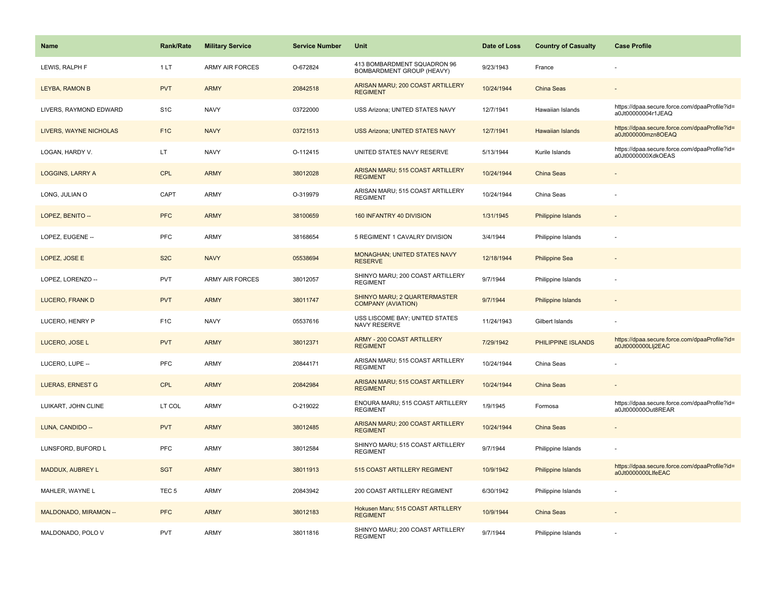| <b>Name</b>             | <b>Rank/Rate</b> | <b>Military Service</b> | <b>Service Number</b> | Unit                                                      | Date of Loss | <b>Country of Casualty</b> | <b>Case Profile</b>                                                 |
|-------------------------|------------------|-------------------------|-----------------------|-----------------------------------------------------------|--------------|----------------------------|---------------------------------------------------------------------|
| LEWIS, RALPH F          | 1LT              | <b>ARMY AIR FORCES</b>  | O-672824              | 413 BOMBARDMENT SQUADRON 96<br>BOMBARDMENT GROUP (HEAVY)  | 9/23/1943    | France                     |                                                                     |
| LEYBA, RAMON B          | <b>PVT</b>       | <b>ARMY</b>             | 20842518              | ARISAN MARU; 200 COAST ARTILLERY<br><b>REGIMENT</b>       | 10/24/1944   | China Seas                 |                                                                     |
| LIVERS, RAYMOND EDWARD  | S <sub>1</sub> C | <b>NAVY</b>             | 03722000              | USS Arizona; UNITED STATES NAVY                           | 12/7/1941    | Hawaiian Islands           | https://dpaa.secure.force.com/dpaaProfile?id=<br>a0Jt00000004r1JEAQ |
| LIVERS, WAYNE NICHOLAS  | F <sub>1C</sub>  | <b>NAVY</b>             | 03721513              | <b>USS Arizona; UNITED STATES NAVY</b>                    | 12/7/1941    | <b>Hawaiian Islands</b>    | https://dpaa.secure.force.com/dpaaProfile?id=<br>a0Jt000000mzn8OEAQ |
| LOGAN, HARDY V.         | LT               | <b>NAVY</b>             | O-112415              | UNITED STATES NAVY RESERVE                                | 5/13/1944    | Kurile Islands             | https://dpaa.secure.force.com/dpaaProfile?id=<br>a0Jt0000000XdkOEAS |
| <b>LOGGINS, LARRY A</b> | <b>CPL</b>       | <b>ARMY</b>             | 38012028              | ARISAN MARU; 515 COAST ARTILLERY<br><b>REGIMENT</b>       | 10/24/1944   | China Seas                 |                                                                     |
| LONG, JULIAN O          | CAPT             | ARMY                    | O-319979              | ARISAN MARU; 515 COAST ARTILLERY<br><b>REGIMENT</b>       | 10/24/1944   | China Seas                 |                                                                     |
| LOPEZ, BENITO --        | <b>PFC</b>       | <b>ARMY</b>             | 38100659              | 160 INFANTRY 40 DIVISION                                  | 1/31/1945    | <b>Philippine Islands</b>  |                                                                     |
| LOPEZ, EUGENE --        | <b>PFC</b>       | ARMY                    | 38168654              | 5 REGIMENT 1 CAVALRY DIVISION                             | 3/4/1944     | Philippine Islands         |                                                                     |
| LOPEZ, JOSE E           | S <sub>2</sub> C | <b>NAVY</b>             | 05538694              | MONAGHAN; UNITED STATES NAVY<br><b>RESERVE</b>            | 12/18/1944   | <b>Philippine Sea</b>      |                                                                     |
| LOPEZ, LORENZO --       | <b>PVT</b>       | <b>ARMY AIR FORCES</b>  | 38012057              | SHINYO MARU; 200 COAST ARTILLERY<br><b>REGIMENT</b>       | 9/7/1944     | Philippine Islands         |                                                                     |
| <b>LUCERO, FRANK D</b>  | <b>PVT</b>       | <b>ARMY</b>             | 38011747              | SHINYO MARU; 2 QUARTERMASTER<br><b>COMPANY (AVIATION)</b> | 9/7/1944     | Philippine Islands         |                                                                     |
| LUCERO, HENRY P         | F <sub>1</sub> C | <b>NAVY</b>             | 05537616              | USS LISCOME BAY; UNITED STATES<br>NAVY RESERVE            | 11/24/1943   | Gilbert Islands            |                                                                     |
| LUCERO, JOSE L          | <b>PVT</b>       | <b>ARMY</b>             | 38012371              | ARMY - 200 COAST ARTILLERY<br><b>REGIMENT</b>             | 7/29/1942    | PHILIPPINE ISLANDS         | https://dpaa.secure.force.com/dpaaProfile?id=<br>a0Jt0000000Llj2EAC |
| LUCERO, LUPE --         | PFC              | <b>ARMY</b>             | 20844171              | ARISAN MARU; 515 COAST ARTILLERY<br><b>REGIMENT</b>       | 10/24/1944   | China Seas                 |                                                                     |
| <b>LUERAS, ERNEST G</b> | <b>CPL</b>       | <b>ARMY</b>             | 20842984              | ARISAN MARU; 515 COAST ARTILLERY<br><b>REGIMENT</b>       | 10/24/1944   | <b>China Seas</b>          |                                                                     |
| LUIKART, JOHN CLINE     | LT COL           | ARMY                    | O-219022              | ENOURA MARU; 515 COAST ARTILLERY<br><b>REGIMENT</b>       | 1/9/1945     | Formosa                    | https://dpaa.secure.force.com/dpaaProfile?id=<br>a0Jt000000Out8REAR |
| LUNA, CANDIDO --        | <b>PVT</b>       | <b>ARMY</b>             | 38012485              | ARISAN MARU; 200 COAST ARTILLERY<br><b>REGIMENT</b>       | 10/24/1944   | China Seas                 |                                                                     |
| LUNSFORD, BUFORD L      | <b>PFC</b>       | <b>ARMY</b>             | 38012584              | SHINYO MARU; 515 COAST ARTILLERY<br><b>REGIMENT</b>       | 9/7/1944     | Philippine Islands         |                                                                     |
| MADDUX, AUBREY L        | <b>SGT</b>       | <b>ARMY</b>             | 38011913              | 515 COAST ARTILLERY REGIMENT                              | 10/9/1942    | Philippine Islands         | https://dpaa.secure.force.com/dpaaProfile?id=<br>a0Jt0000000LlfeEAC |
| MAHLER, WAYNE L         | TEC <sub>5</sub> | ARMY                    | 20843942              | 200 COAST ARTILLERY REGIMENT                              | 6/30/1942    | Philippine Islands         |                                                                     |
| MALDONADO, MIRAMON --   | <b>PFC</b>       | <b>ARMY</b>             | 38012183              | Hokusen Maru; 515 COAST ARTILLERY<br><b>REGIMENT</b>      | 10/9/1944    | <b>China Seas</b>          |                                                                     |
| MALDONADO, POLO V       | <b>PVT</b>       | ARMY                    | 38011816              | SHINYO MARU; 200 COAST ARTILLERY<br><b>REGIMENT</b>       | 9/7/1944     | Philippine Islands         |                                                                     |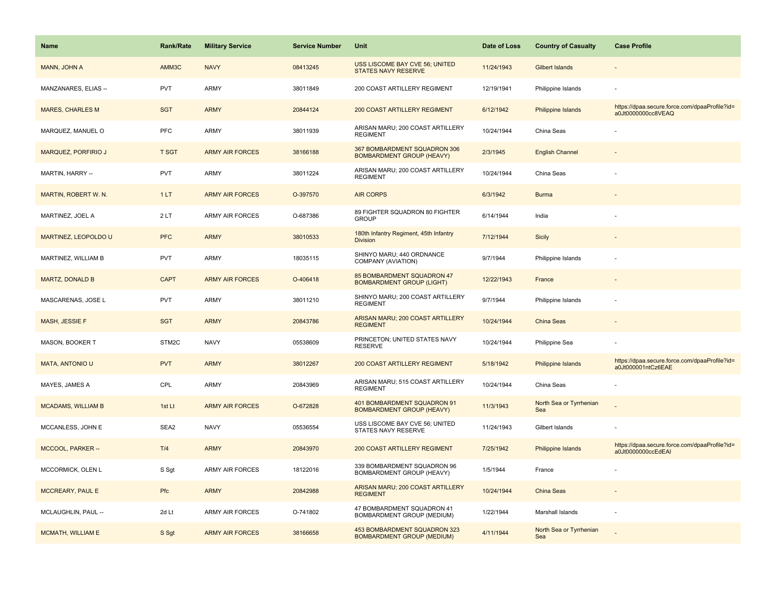| <b>Name</b>                 | <b>Rank/Rate</b> | <b>Military Service</b> | <b>Service Number</b> | Unit                                                              | Date of Loss | <b>Country of Casualty</b>     | <b>Case Profile</b>                                                 |
|-----------------------------|------------------|-------------------------|-----------------------|-------------------------------------------------------------------|--------------|--------------------------------|---------------------------------------------------------------------|
| MANN, JOHN A                | AMM3C            | <b>NAVY</b>             | 08413245              | USS LISCOME BAY CVE 56; UNITED<br>STATES NAVY RESERVE             | 11/24/1943   | Gilbert Islands                |                                                                     |
| MANZANARES, ELIAS --        | <b>PVT</b>       | ARMY                    | 38011849              | 200 COAST ARTILLERY REGIMENT                                      | 12/19/1941   | Philippine Islands             |                                                                     |
| <b>MARES, CHARLES M</b>     | <b>SGT</b>       | <b>ARMY</b>             | 20844124              | 200 COAST ARTILLERY REGIMENT                                      | 6/12/1942    | Philippine Islands             | https://dpaa.secure.force.com/dpaaProfile?id=<br>a0Jt0000000cc8VEAQ |
| MARQUEZ, MANUEL O           | <b>PFC</b>       | ARMY                    | 38011939              | ARISAN MARU; 200 COAST ARTILLERY<br><b>REGIMENT</b>               | 10/24/1944   | China Seas                     |                                                                     |
| <b>MARQUEZ, PORFIRIO J</b>  | <b>T SGT</b>     | <b>ARMY AIR FORCES</b>  | 38166188              | 367 BOMBARDMENT SQUADRON 306<br><b>BOMBARDMENT GROUP (HEAVY)</b>  | 2/3/1945     | <b>English Channel</b>         |                                                                     |
| MARTIN, HARRY --            | <b>PVT</b>       | ARMY                    | 38011224              | ARISAN MARU; 200 COAST ARTILLERY<br><b>REGIMENT</b>               | 10/24/1944   | China Seas                     |                                                                     |
| MARTIN, ROBERT W. N.        | 1LT              | <b>ARMY AIR FORCES</b>  | O-397570              | <b>AIR CORPS</b>                                                  | 6/3/1942     | <b>Burma</b>                   |                                                                     |
| MARTINEZ, JOEL A            | 2LT              | <b>ARMY AIR FORCES</b>  | O-687386              | 89 FIGHTER SQUADRON 80 FIGHTER<br><b>GROUP</b>                    | 6/14/1944    | India                          |                                                                     |
| <b>MARTINEZ, LEOPOLDO U</b> | <b>PFC</b>       | <b>ARMY</b>             | 38010533              | 180th Infantry Regiment, 45th Infantry<br><b>Division</b>         | 7/12/1944    | <b>Sicily</b>                  |                                                                     |
| MARTINEZ, WILLIAM B         | <b>PVT</b>       | ARMY                    | 18035115              | SHINYO MARU; 440 ORDNANCE<br>COMPANY (AVIATION)                   | 9/7/1944     | Philippine Islands             |                                                                     |
| <b>MARTZ, DONALD B</b>      | <b>CAPT</b>      | <b>ARMY AIR FORCES</b>  | O-406418              | 85 BOMBARDMENT SQUADRON 47<br><b>BOMBARDMENT GROUP (LIGHT)</b>    | 12/22/1943   | France                         |                                                                     |
| MASCARENAS, JOSE L          | <b>PVT</b>       | <b>ARMY</b>             | 38011210              | SHINYO MARU; 200 COAST ARTILLERY<br><b>REGIMENT</b>               | 9/7/1944     | Philippine Islands             |                                                                     |
| <b>MASH, JESSIE F</b>       | <b>SGT</b>       | <b>ARMY</b>             | 20843786              | ARISAN MARU; 200 COAST ARTILLERY<br><b>REGIMENT</b>               | 10/24/1944   | <b>China Seas</b>              |                                                                     |
| MASON, BOOKER T             | STM2C            | <b>NAVY</b>             | 05538609              | PRINCETON; UNITED STATES NAVY<br><b>RESERVE</b>                   | 10/24/1944   | Philippine Sea                 |                                                                     |
| <b>MATA, ANTONIO U</b>      | <b>PVT</b>       | <b>ARMY</b>             | 38012267              | 200 COAST ARTILLERY REGIMENT                                      | 5/18/1942    | Philippine Islands             | https://dpaa.secure.force.com/dpaaProfile?id=<br>a0Jt000001ntCz6EAE |
| MAYES, JAMES A              | CPL              | ARMY                    | 20843969              | ARISAN MARU; 515 COAST ARTILLERY<br><b>REGIMENT</b>               | 10/24/1944   | China Seas                     |                                                                     |
| <b>MCADAMS, WILLIAM B</b>   | 1st Lt           | <b>ARMY AIR FORCES</b>  | O-672828              | 401 BOMBARDMENT SQUADRON 91<br><b>BOMBARDMENT GROUP (HEAVY)</b>   | 11/3/1943    | North Sea or Tyrrhenian<br>Sea |                                                                     |
| MCCANLESS, JOHN E           | SEA2             | <b>NAVY</b>             | 05536554              | USS LISCOME BAY CVE 56; UNITED<br>STATES NAVY RESERVE             | 11/24/1943   | Gilbert Islands                |                                                                     |
| MCCOOL, PARKER --           | T/4              | <b>ARMY</b>             | 20843970              | 200 COAST ARTILLERY REGIMENT                                      | 7/25/1942    | Philippine Islands             | https://dpaa.secure.force.com/dpaaProfile?id=<br>a0Jt0000000ccEdEAI |
| MCCORMICK, OLEN L           | S Sgt            | <b>ARMY AIR FORCES</b>  | 18122016              | 339 BOMBARDMENT SQUADRON 96<br>BOMBARDMENT GROUP (HEAVY)          | 1/5/1944     | France                         |                                                                     |
| MCCREARY, PAUL E            | <b>Pfc</b>       | <b>ARMY</b>             | 20842988              | ARISAN MARU; 200 COAST ARTILLERY<br><b>REGIMENT</b>               | 10/24/1944   | <b>China Seas</b>              |                                                                     |
| MCLAUGHLIN, PAUL --         | 2d Lt            | ARMY AIR FORCES         | O-741802              | 47 BOMBARDMENT SQUADRON 41<br>BOMBARDMENT GROUP (MEDIUM)          | 1/22/1944    | Marshall Islands               |                                                                     |
| MCMATH, WILLIAM E           | S Sgt            | <b>ARMY AIR FORCES</b>  | 38166658              | 453 BOMBARDMENT SQUADRON 323<br><b>BOMBARDMENT GROUP (MEDIUM)</b> | 4/11/1944    | North Sea or Tyrrhenian<br>Sea |                                                                     |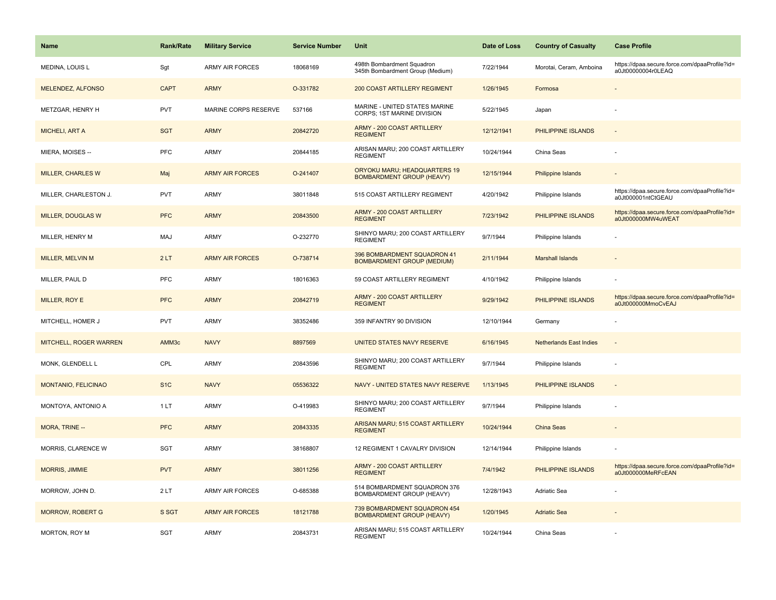| <b>Name</b>                | Rank/Rate        | <b>Military Service</b> | <b>Service Number</b> | Unit                                                             | Date of Loss | <b>Country of Casualty</b>     | <b>Case Profile</b>                                                 |
|----------------------------|------------------|-------------------------|-----------------------|------------------------------------------------------------------|--------------|--------------------------------|---------------------------------------------------------------------|
| <b>MEDINA, LOUIS L</b>     | Sgt              | <b>ARMY AIR FORCES</b>  | 18068169              | 498th Bombardment Squadron<br>345th Bombardment Group (Medium)   | 7/22/1944    | Morotai, Ceram, Amboina        | https://dpaa.secure.force.com/dpaaProfile?id=<br>a0Jt00000004r0LEAQ |
| MELENDEZ, ALFONSO          | <b>CAPT</b>      | <b>ARMY</b>             | O-331782              | 200 COAST ARTILLERY REGIMENT                                     | 1/26/1945    | Formosa                        |                                                                     |
| METZGAR, HENRY H           | <b>PVT</b>       | MARINE CORPS RESERVE    | 537166                | MARINE - UNITED STATES MARINE<br>CORPS; 1ST MARINE DIVISION      | 5/22/1945    | Japan                          |                                                                     |
| <b>MICHELI, ART A</b>      | <b>SGT</b>       | <b>ARMY</b>             | 20842720              | <b>ARMY - 200 COAST ARTILLERY</b><br><b>REGIMENT</b>             | 12/12/1941   | PHILIPPINE ISLANDS             |                                                                     |
| MIERA, MOISES --           | <b>PFC</b>       | <b>ARMY</b>             | 20844185              | ARISAN MARU; 200 COAST ARTILLERY<br><b>REGIMENT</b>              | 10/24/1944   | China Seas                     |                                                                     |
| <b>MILLER, CHARLES W</b>   | Maj              | <b>ARMY AIR FORCES</b>  | O-241407              | ORYOKU MARU; HEADQUARTERS 19<br><b>BOMBARDMENT GROUP (HEAVY)</b> | 12/15/1944   | <b>Philippine Islands</b>      | $\overline{\phantom{a}}$                                            |
| MILLER, CHARLESTON J.      | <b>PVT</b>       | <b>ARMY</b>             | 38011848              | 515 COAST ARTILLERY REGIMENT                                     | 4/20/1942    | Philippine Islands             | https://dpaa.secure.force.com/dpaaProfile?id=<br>a0Jt000001ntCtGEAU |
| MILLER, DOUGLAS W          | <b>PFC</b>       | <b>ARMY</b>             | 20843500              | <b>ARMY - 200 COAST ARTILLERY</b><br><b>REGIMENT</b>             | 7/23/1942    | PHILIPPINE ISLANDS             | https://dpaa.secure.force.com/dpaaProfile?id=<br>a0Jt000000MW4uWEAT |
| MILLER, HENRY M            | MAJ              | ARMY                    | O-232770              | SHINYO MARU; 200 COAST ARTILLERY<br><b>REGIMENT</b>              | 9/7/1944     | Philippine Islands             |                                                                     |
| <b>MILLER, MELVIN M</b>    | 2LT              | <b>ARMY AIR FORCES</b>  | O-738714              | 396 BOMBARDMENT SQUADRON 41<br><b>BOMBARDMENT GROUP (MEDIUM)</b> | 2/11/1944    | <b>Marshall Islands</b>        |                                                                     |
| MILLER, PAUL D             | PFC              | ARMY                    | 18016363              | 59 COAST ARTILLERY REGIMENT                                      | 4/10/1942    | Philippine Islands             |                                                                     |
| MILLER, ROY E              | <b>PFC</b>       | <b>ARMY</b>             | 20842719              | <b>ARMY - 200 COAST ARTILLERY</b><br><b>REGIMENT</b>             | 9/29/1942    | PHILIPPINE ISLANDS             | https://dpaa.secure.force.com/dpaaProfile?id=<br>a0Jt000000MmoCvEAJ |
| MITCHELL, HOMER J          | PVT              | <b>ARMY</b>             | 38352486              | 359 INFANTRY 90 DIVISION                                         | 12/10/1944   | Germany                        |                                                                     |
| MITCHELL, ROGER WARREN     | AMM3c            | <b>NAVY</b>             | 8897569               | <b>UNITED STATES NAVY RESERVE</b>                                | 6/16/1945    | <b>Netherlands East Indies</b> | $\sim$                                                              |
| MONK, GLENDELL L           | CPL              | <b>ARMY</b>             | 20843596              | SHINYO MARU; 200 COAST ARTILLERY<br><b>REGIMENT</b>              | 9/7/1944     | Philippine Islands             | ÷,                                                                  |
| <b>MONTANIO, FELICINAO</b> | S <sub>1</sub> C | <b>NAVY</b>             | 05536322              | NAVY - UNITED STATES NAVY RESERVE                                | 1/13/1945    | PHILIPPINE ISLANDS             | $\sim$                                                              |
| MONTOYA, ANTONIO A         | 1LT              | <b>ARMY</b>             | O-419983              | SHINYO MARU; 200 COAST ARTILLERY<br><b>REGIMENT</b>              | 9/7/1944     | Philippine Islands             |                                                                     |
| MORA, TRINE --             | <b>PFC</b>       | <b>ARMY</b>             | 20843335              | ARISAN MARU; 515 COAST ARTILLERY<br><b>REGIMENT</b>              | 10/24/1944   | China Seas                     |                                                                     |
| MORRIS, CLARENCE W         | SGT              | <b>ARMY</b>             | 38168807              | 12 REGIMENT 1 CAVALRY DIVISION                                   | 12/14/1944   | Philippine Islands             |                                                                     |
| MORRIS, JIMMIE             | <b>PVT</b>       | <b>ARMY</b>             | 38011256              | <b>ARMY - 200 COAST ARTILLERY</b><br><b>REGIMENT</b>             | 7/4/1942     | PHILIPPINE ISLANDS             | https://dpaa.secure.force.com/dpaaProfile?id=<br>a0Jt000000MeRFcEAN |
| MORROW, JOHN D.            | 2LT              | <b>ARMY AIR FORCES</b>  | O-685388              | 514 BOMBARDMENT SQUADRON 376<br>BOMBARDMENT GROUP (HEAVY)        | 12/28/1943   | Adriatic Sea                   |                                                                     |
| <b>MORROW, ROBERT G</b>    | S SGT            | <b>ARMY AIR FORCES</b>  | 18121788              | 739 BOMBARDMENT SQUADRON 454<br><b>BOMBARDMENT GROUP (HEAVY)</b> | 1/20/1945    | <b>Adriatic Sea</b>            |                                                                     |
| MORTON, ROY M              | SGT              | <b>ARMY</b>             | 20843731              | ARISAN MARU; 515 COAST ARTILLERY<br><b>REGIMENT</b>              | 10/24/1944   | China Seas                     |                                                                     |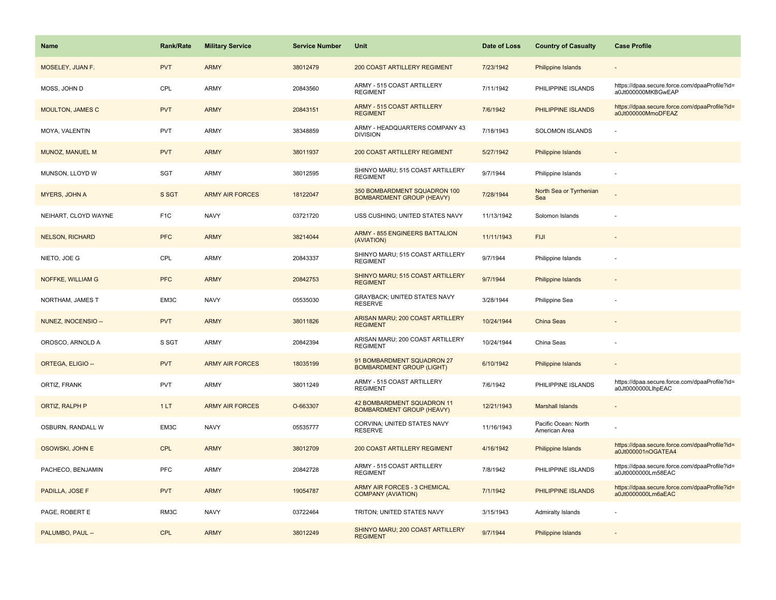| Name                    | <b>Rank/Rate</b> | <b>Military Service</b> | <b>Service Number</b> | Unit                                                             | Date of Loss | <b>Country of Casualty</b>            | <b>Case Profile</b>                                                 |
|-------------------------|------------------|-------------------------|-----------------------|------------------------------------------------------------------|--------------|---------------------------------------|---------------------------------------------------------------------|
| MOSELEY, JUAN F.        | <b>PVT</b>       | <b>ARMY</b>             | 38012479              | 200 COAST ARTILLERY REGIMENT                                     | 7/23/1942    | Philippine Islands                    |                                                                     |
| MOSS, JOHN D            | CPL              | ARMY                    | 20843560              | ARMY - 515 COAST ARTILLERY<br><b>REGIMENT</b>                    | 7/11/1942    | PHILIPPINE ISLANDS                    | https://dpaa.secure.force.com/dpaaProfile?id=<br>a0Jt000000MKBGwEAP |
| <b>MOULTON, JAMES C</b> | <b>PVT</b>       | <b>ARMY</b>             | 20843151              | ARMY - 515 COAST ARTILLERY<br><b>REGIMENT</b>                    | 7/6/1942     | PHILIPPINE ISLANDS                    | https://dpaa.secure.force.com/dpaaProfile?id=<br>a0Jt000000MmoDFEAZ |
| MOYA, VALENTIN          | <b>PVT</b>       | ARMY                    | 38348859              | ARMY - HEADQUARTERS COMPANY 43<br><b>DIVISION</b>                | 7/18/1943    | SOLOMON ISLANDS                       |                                                                     |
| MUNOZ, MANUEL M         | <b>PVT</b>       | <b>ARMY</b>             | 38011937              | 200 COAST ARTILLERY REGIMENT                                     | 5/27/1942    | Philippine Islands                    |                                                                     |
| MUNSON, LLOYD W         | SGT              | <b>ARMY</b>             | 38012595              | SHINYO MARU; 515 COAST ARTILLERY<br><b>REGIMENT</b>              | 9/7/1944     | Philippine Islands                    |                                                                     |
| MYERS, JOHN A           | S SGT            | <b>ARMY AIR FORCES</b>  | 18122047              | 350 BOMBARDMENT SQUADRON 100<br><b>BOMBARDMENT GROUP (HEAVY)</b> | 7/28/1944    | North Sea or Tyrrhenian<br>Sea        |                                                                     |
| NEIHART, CLOYD WAYNE    | F <sub>1</sub> C | <b>NAVY</b>             | 03721720              | USS CUSHING; UNITED STATES NAVY                                  | 11/13/1942   | Solomon Islands                       |                                                                     |
| <b>NELSON, RICHARD</b>  | <b>PFC</b>       | <b>ARMY</b>             | 38214044              | <b>ARMY - 855 ENGINEERS BATTALION</b><br>(AVIATION)              | 11/11/1943   | <b>FIJI</b>                           |                                                                     |
| NIETO, JOE G            | CPL              | ARMY                    | 20843337              | SHINYO MARU; 515 COAST ARTILLERY<br><b>REGIMENT</b>              | 9/7/1944     | Philippine Islands                    |                                                                     |
| NOFFKE, WILLIAM G       | <b>PFC</b>       | <b>ARMY</b>             | 20842753              | SHINYO MARU; 515 COAST ARTILLERY<br><b>REGIMENT</b>              | 9/7/1944     | Philippine Islands                    |                                                                     |
| NORTHAM, JAMES T        | EM3C             | <b>NAVY</b>             | 05535030              | <b>GRAYBACK: UNITED STATES NAVY</b><br><b>RESERVE</b>            | 3/28/1944    | Philippine Sea                        |                                                                     |
| NUNEZ, INOCENSIO --     | <b>PVT</b>       | <b>ARMY</b>             | 38011826              | ARISAN MARU; 200 COAST ARTILLERY<br><b>REGIMENT</b>              | 10/24/1944   | <b>China Seas</b>                     |                                                                     |
| OROSCO, ARNOLD A        | S SGT            | <b>ARMY</b>             | 20842394              | ARISAN MARU; 200 COAST ARTILLERY<br><b>REGIMENT</b>              | 10/24/1944   | China Seas                            |                                                                     |
| ORTEGA, ELIGIO --       | <b>PVT</b>       | <b>ARMY AIR FORCES</b>  | 18035199              | 91 BOMBARDMENT SQUADRON 27<br><b>BOMBARDMENT GROUP (LIGHT)</b>   | 6/10/1942    | Philippine Islands                    |                                                                     |
| ORTIZ, FRANK            | <b>PVT</b>       | ARMY                    | 38011249              | ARMY - 515 COAST ARTILLERY<br><b>REGIMENT</b>                    | 7/6/1942     | PHILIPPINE ISLANDS                    | https://dpaa.secure.force.com/dpaaProfile?id=<br>a0Jt0000000LlhpEAC |
| <b>ORTIZ, RALPH P</b>   | 1LT              | <b>ARMY AIR FORCES</b>  | O-663307              | 42 BOMBARDMENT SQUADRON 11<br><b>BOMBARDMENT GROUP (HEAVY)</b>   | 12/21/1943   | <b>Marshall Islands</b>               |                                                                     |
| OSBURN, RANDALL W       | EM3C             | <b>NAVY</b>             | 05535777              | CORVINA; UNITED STATES NAVY<br><b>RESERVE</b>                    | 11/16/1943   | Pacific Ocean: North<br>American Area |                                                                     |
| OSOWSKI, JOHN E         | <b>CPL</b>       | <b>ARMY</b>             | 38012709              | 200 COAST ARTILLERY REGIMENT                                     | 4/16/1942    | Philippine Islands                    | https://dpaa.secure.force.com/dpaaProfile?id=<br>a0Jt000001nOGATEA4 |
| PACHECO, BENJAMIN       | PFC              | ARMY                    | 20842728              | ARMY - 515 COAST ARTILLERY<br><b>REGIMENT</b>                    | 7/8/1942     | PHILIPPINE ISLANDS                    | https://dpaa.secure.force.com/dpaaProfile?id=<br>a0Jt0000000Lm58EAC |
| PADILLA, JOSE F         | <b>PVT</b>       | <b>ARMY</b>             | 19054787              | ARMY AIR FORCES - 3 CHEMICAL<br><b>COMPANY (AVIATION)</b>        | 7/1/1942     | PHILIPPINE ISLANDS                    | https://dpaa.secure.force.com/dpaaProfile?id=<br>a0Jt0000000Lm6aEAC |
| PAGE, ROBERT E          | RM3C             | <b>NAVY</b>             | 03722464              | TRITON; UNITED STATES NAVY                                       | 3/15/1943    | <b>Admiralty Islands</b>              |                                                                     |
| PALUMBO, PAUL --        | <b>CPL</b>       | <b>ARMY</b>             | 38012249              | SHINYO MARU; 200 COAST ARTILLERY<br><b>REGIMENT</b>              | 9/7/1944     | Philippine Islands                    |                                                                     |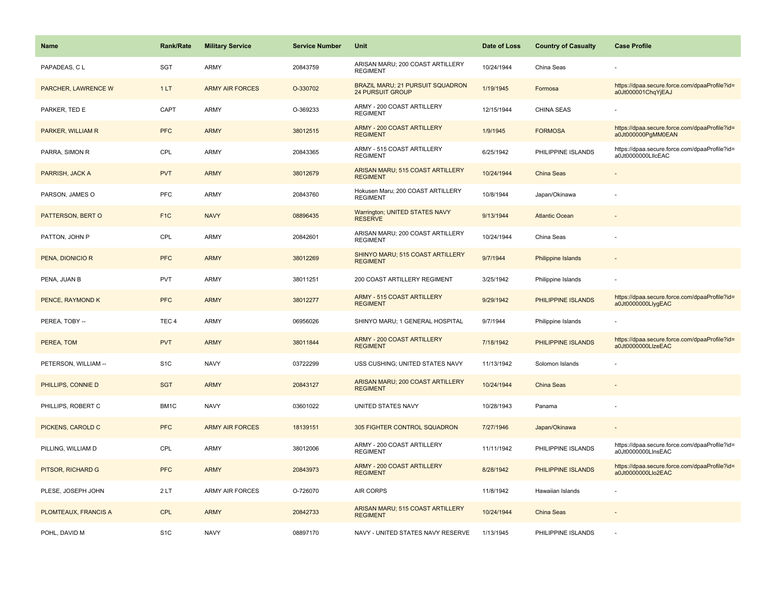| <b>Name</b>             | <b>Rank/Rate</b> | <b>Military Service</b> | <b>Service Number</b> | Unit                                                        | Date of Loss | <b>Country of Casualty</b> | <b>Case Profile</b>                                                 |
|-------------------------|------------------|-------------------------|-----------------------|-------------------------------------------------------------|--------------|----------------------------|---------------------------------------------------------------------|
| PAPADEAS, CL            | <b>SGT</b>       | ARMY                    | 20843759              | ARISAN MARU; 200 COAST ARTILLERY<br><b>REGIMENT</b>         | 10/24/1944   | China Seas                 |                                                                     |
| PARCHER, LAWRENCE W     | 1LT              | <b>ARMY AIR FORCES</b>  | O-330702              | BRAZIL MARU; 21 PURSUIT SQUADRON<br><b>24 PURSUIT GROUP</b> | 1/19/1945    | Formosa                    | https://dpaa.secure.force.com/dpaaProfile?id=<br>a0Jt000001ChqYjEAJ |
| PARKER, TED E           | CAPT             | ARMY                    | O-369233              | ARMY - 200 COAST ARTILLERY<br><b>REGIMENT</b>               | 12/15/1944   | <b>CHINA SEAS</b>          |                                                                     |
| PARKER, WILLIAM R       | <b>PFC</b>       | <b>ARMY</b>             | 38012515              | ARMY - 200 COAST ARTILLERY<br><b>REGIMENT</b>               | 1/9/1945     | <b>FORMOSA</b>             | https://dpaa.secure.force.com/dpaaProfile?id=<br>a0Jt000000PgMM0EAN |
| PARRA, SIMON R          | CPL              | ARMY                    | 20843365              | ARMY - 515 COAST ARTILLERY<br><b>REGIMENT</b>               | 6/25/1942    | PHILIPPINE ISLANDS         | https://dpaa.secure.force.com/dpaaProfile?id=<br>a0Jt0000000LIIcEAC |
| PARRISH, JACK A         | <b>PVT</b>       | <b>ARMY</b>             | 38012679              | ARISAN MARU; 515 COAST ARTILLERY<br><b>REGIMENT</b>         | 10/24/1944   | China Seas                 |                                                                     |
| PARSON, JAMES O         | PFC              | <b>ARMY</b>             | 20843760              | Hokusen Maru; 200 COAST ARTILLERY<br><b>REGIMENT</b>        | 10/8/1944    | Japan/Okinawa              |                                                                     |
| PATTERSON, BERT O       | F <sub>1</sub> C | <b>NAVY</b>             | 08896435              | Warrington; UNITED STATES NAVY<br><b>RESERVE</b>            | 9/13/1944    | <b>Atlantic Ocean</b>      |                                                                     |
| PATTON, JOHN P          | CPL              | ARMY                    | 20842601              | ARISAN MARU; 200 COAST ARTILLERY<br><b>REGIMENT</b>         | 10/24/1944   | China Seas                 |                                                                     |
| PENA, DIONICIO R        | <b>PFC</b>       | <b>ARMY</b>             | 38012269              | SHINYO MARU; 515 COAST ARTILLERY<br><b>REGIMENT</b>         | 9/7/1944     | <b>Philippine Islands</b>  |                                                                     |
| PENA, JUAN B            | <b>PVT</b>       | ARMY                    | 38011251              | 200 COAST ARTILLERY REGIMENT                                | 3/25/1942    | Philippine Islands         |                                                                     |
| <b>PENCE, RAYMOND K</b> | <b>PFC</b>       | <b>ARMY</b>             | 38012277              | ARMY - 515 COAST ARTILLERY<br><b>REGIMENT</b>               | 9/29/1942    | PHILIPPINE ISLANDS         | https://dpaa.secure.force.com/dpaaProfile?id=<br>a0Jt0000000LlygEAC |
| PEREA, TOBY --          | TEC <sub>4</sub> | ARMY                    | 06956026              | SHINYO MARU; 1 GENERAL HOSPITAL                             | 9/7/1944     | Philippine Islands         |                                                                     |
| PEREA, TOM              | <b>PVT</b>       | <b>ARMY</b>             | 38011844              | ARMY - 200 COAST ARTILLERY<br><b>REGIMENT</b>               | 7/18/1942    | PHILIPPINE ISLANDS         | https://dpaa.secure.force.com/dpaaProfile?id=<br>a0Jt0000000LlzeEAC |
| PETERSON, WILLIAM --    | S <sub>1</sub> C | <b>NAVY</b>             | 03722299              | USS CUSHING; UNITED STATES NAVY                             | 11/13/1942   | Solomon Islands            |                                                                     |
| PHILLIPS, CONNIE D      | <b>SGT</b>       | <b>ARMY</b>             | 20843127              | ARISAN MARU; 200 COAST ARTILLERY<br><b>REGIMENT</b>         | 10/24/1944   | <b>China Seas</b>          |                                                                     |
| PHILLIPS, ROBERT C      | BM1C             | <b>NAVY</b>             | 03601022              | UNITED STATES NAVY                                          | 10/28/1943   | Panama                     |                                                                     |
| PICKENS, CAROLD C       | <b>PFC</b>       | <b>ARMY AIR FORCES</b>  | 18139151              | 305 FIGHTER CONTROL SQUADRON                                | 7/27/1946    | Japan/Okinawa              |                                                                     |
| PILLING, WILLIAM D      | CPL              | ARMY                    | 38012006              | ARMY - 200 COAST ARTILLERY<br><b>REGIMENT</b>               | 11/11/1942   | PHILIPPINE ISLANDS         | https://dpaa.secure.force.com/dpaaProfile?id=<br>a0Jt0000000LInsEAC |
| PITSOR, RICHARD G       | <b>PFC</b>       | <b>ARMY</b>             | 20843973              | ARMY - 200 COAST ARTILLERY<br><b>REGIMENT</b>               | 8/28/1942    | PHILIPPINE ISLANDS         | https://dpaa.secure.force.com/dpaaProfile?id=<br>a0Jt0000000Llo2EAC |
| PLESE, JOSEPH JOHN      | 2LT              | <b>ARMY AIR FORCES</b>  | O-726070              | <b>AIR CORPS</b>                                            | 11/8/1942    | Hawaiian Islands           |                                                                     |
| PLOMTEAUX, FRANCIS A    | <b>CPL</b>       | <b>ARMY</b>             | 20842733              | ARISAN MARU; 515 COAST ARTILLERY<br><b>REGIMENT</b>         | 10/24/1944   | China Seas                 |                                                                     |
| POHL, DAVID M           | S <sub>1</sub> C | <b>NAVY</b>             | 08897170              | NAVY - UNITED STATES NAVY RESERVE                           | 1/13/1945    | PHILIPPINE ISLANDS         |                                                                     |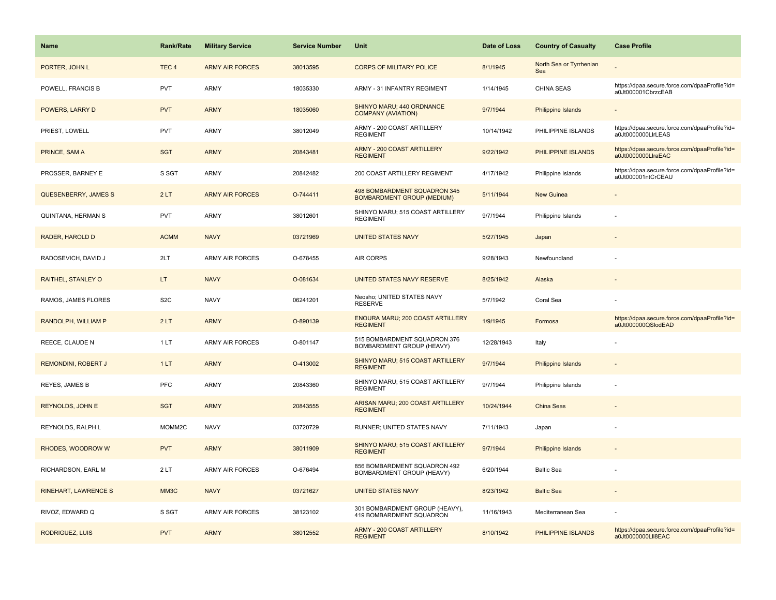| <b>Name</b>                 | <b>Rank/Rate</b> | <b>Military Service</b> | <b>Service Number</b> | Unit                                                              | Date of Loss | <b>Country of Casualty</b>     | <b>Case Profile</b>                                                 |
|-----------------------------|------------------|-------------------------|-----------------------|-------------------------------------------------------------------|--------------|--------------------------------|---------------------------------------------------------------------|
| PORTER, JOHN L              | TEC <sub>4</sub> | <b>ARMY AIR FORCES</b>  | 38013595              | <b>CORPS OF MILITARY POLICE</b>                                   | 8/1/1945     | North Sea or Tyrrhenian<br>Sea |                                                                     |
| POWELL, FRANCIS B           | <b>PVT</b>       | ARMY                    | 18035330              | ARMY - 31 INFANTRY REGIMENT                                       | 1/14/1945    | CHINA SEAS                     | https://dpaa.secure.force.com/dpaaProfile?id=<br>a0Jt000001CbrzcEAB |
| POWERS, LARRY D             | <b>PVT</b>       | <b>ARMY</b>             | 18035060              | SHINYO MARU; 440 ORDNANCE<br><b>COMPANY (AVIATION)</b>            | 9/7/1944     | Philippine Islands             |                                                                     |
| PRIEST, LOWELL              | <b>PVT</b>       | ARMY                    | 38012049              | ARMY - 200 COAST ARTILLERY<br><b>REGIMENT</b>                     | 10/14/1942   | PHILIPPINE ISLANDS             | https://dpaa.secure.force.com/dpaaProfile?id=<br>a0Jt0000000LlrLEAS |
| PRINCE, SAM A               | <b>SGT</b>       | <b>ARMY</b>             | 20843481              | <b>ARMY - 200 COAST ARTILLERY</b><br><b>REGIMENT</b>              | 9/22/1942    | PHILIPPINE ISLANDS             | https://dpaa.secure.force.com/dpaaProfile?id=<br>a0Jt0000000LlraEAC |
| PROSSER, BARNEY E           | S SGT            | <b>ARMY</b>             | 20842482              | 200 COAST ARTILLERY REGIMENT                                      | 4/17/1942    | Philippine Islands             | https://dpaa.secure.force.com/dpaaProfile?id=<br>a0Jt000001ntCrCEAU |
| QUESENBERRY, JAMES S        | 2LT              | <b>ARMY AIR FORCES</b>  | O-744411              | 498 BOMBARDMENT SQUADRON 345<br><b>BOMBARDMENT GROUP (MEDIUM)</b> | 5/11/1944    | New Guinea                     |                                                                     |
| QUINTANA, HERMAN S          | <b>PVT</b>       | <b>ARMY</b>             | 38012601              | SHINYO MARU; 515 COAST ARTILLERY<br><b>REGIMENT</b>               | 9/7/1944     | Philippine Islands             |                                                                     |
| RADER, HAROLD D             | <b>ACMM</b>      | <b>NAVY</b>             | 03721969              | <b>UNITED STATES NAVY</b>                                         | 5/27/1945    | Japan                          |                                                                     |
| RADOSEVICH, DAVID J         | 2LT              | <b>ARMY AIR FORCES</b>  | O-678455              | <b>AIR CORPS</b>                                                  | 9/28/1943    | Newfoundland                   |                                                                     |
| RAITHEL, STANLEY O          | LT.              | <b>NAVY</b>             | O-081634              | UNITED STATES NAVY RESERVE                                        | 8/25/1942    | Alaska                         |                                                                     |
| RAMOS, JAMES FLORES         | S <sub>2</sub> C | <b>NAVY</b>             | 06241201              | Neosho; UNITED STATES NAVY<br><b>RESERVE</b>                      | 5/7/1942     | Coral Sea                      |                                                                     |
| RANDOLPH, WILLIAM P         | 2LT              | <b>ARMY</b>             | O-890139              | ENOURA MARU; 200 COAST ARTILLERY<br><b>REGIMENT</b>               | 1/9/1945     | Formosa                        | https://dpaa.secure.force.com/dpaaProfile?id=<br>a0Jt000000QSlodEAD |
| REECE, CLAUDE N             | 1LT              | <b>ARMY AIR FORCES</b>  | O-801147              | 515 BOMBARDMENT SQUADRON 376<br>BOMBARDMENT GROUP (HEAVY)         | 12/28/1943   | Italy                          |                                                                     |
| REMONDINI, ROBERT J         | 1LT              | <b>ARMY</b>             | O-413002              | SHINYO MARU; 515 COAST ARTILLERY<br><b>REGIMENT</b>               | 9/7/1944     | Philippine Islands             |                                                                     |
| <b>REYES, JAMES B</b>       | <b>PFC</b>       | <b>ARMY</b>             | 20843360              | SHINYO MARU; 515 COAST ARTILLERY<br><b>REGIMENT</b>               | 9/7/1944     | Philippine Islands             |                                                                     |
| <b>REYNOLDS, JOHN E</b>     | <b>SGT</b>       | <b>ARMY</b>             | 20843555              | ARISAN MARU; 200 COAST ARTILLERY<br><b>REGIMENT</b>               | 10/24/1944   | China Seas                     |                                                                     |
| REYNOLDS, RALPH L           | MOMM2C           | <b>NAVY</b>             | 03720729              | RUNNER; UNITED STATES NAVY                                        | 7/11/1943    | Japan                          |                                                                     |
| RHODES, WOODROW W           | <b>PVT</b>       | <b>ARMY</b>             | 38011909              | SHINYO MARU; 515 COAST ARTILLERY<br><b>REGIMENT</b>               | 9/7/1944     | <b>Philippine Islands</b>      |                                                                     |
| RICHARDSON, EARL M          | 2LT              | ARMY AIR FORCES         | O-676494              | 856 BOMBARDMENT SQUADRON 492<br>BOMBARDMENT GROUP (HEAVY)         | 6/20/1944    | <b>Baltic Sea</b>              |                                                                     |
| <b>RINEHART, LAWRENCE S</b> | MM3C             | <b>NAVY</b>             | 03721627              | <b>UNITED STATES NAVY</b>                                         | 8/23/1942    | <b>Baltic Sea</b>              |                                                                     |
| RIVOZ, EDWARD Q             | S SGT            | <b>ARMY AIR FORCES</b>  | 38123102              | 301 BOMBARDMENT GROUP (HEAVY),<br>419 BOMBARDMENT SQUADRON        | 11/16/1943   | Mediterranean Sea              |                                                                     |
| <b>RODRIGUEZ, LUIS</b>      | <b>PVT</b>       | <b>ARMY</b>             | 38012552              | <b>ARMY - 200 COAST ARTILLERY</b><br><b>REGIMENT</b>              | 8/10/1942    | PHILIPPINE ISLANDS             | https://dpaa.secure.force.com/dpaaProfile?id=<br>a0Jt0000000LII8EAC |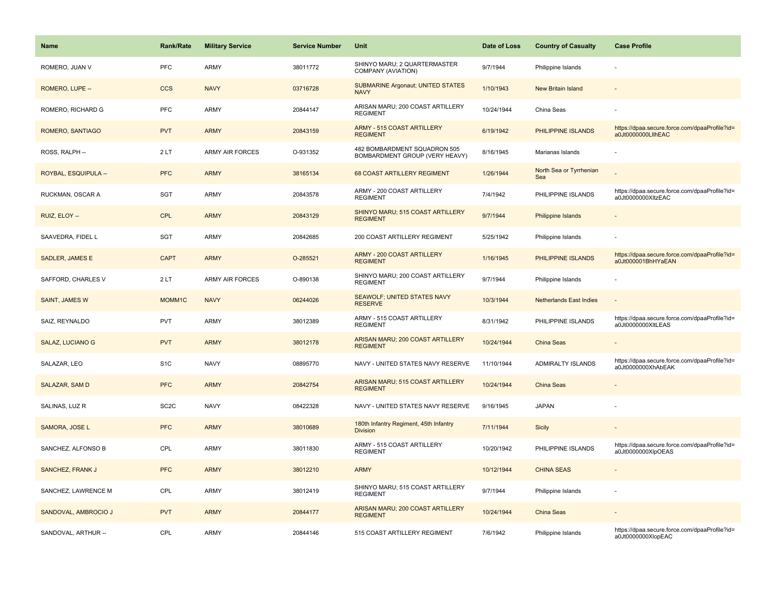| <b>Name</b>             | <b>Rank/Rate</b>   | <b>Military Service</b> | <b>Service Number</b> | <b>Unit</b>                                                    | Date of Loss | <b>Country of Casualty</b>     | <b>Case Profile</b>                                                 |
|-------------------------|--------------------|-------------------------|-----------------------|----------------------------------------------------------------|--------------|--------------------------------|---------------------------------------------------------------------|
| ROMERO, JUAN V          | <b>PFC</b>         | <b>ARMY</b>             | 38011772              | SHINYO MARU; 2 QUARTERMASTER<br>COMPANY (AVIATION)             | 9/7/1944     | Philippine Islands             |                                                                     |
| ROMERO, LUPE --         | <b>CCS</b>         | <b>NAVY</b>             | 03716728              | <b>SUBMARINE Argonaut; UNITED STATES</b><br><b>NAVY</b>        | 1/10/1943    | New Britain Island             |                                                                     |
| ROMERO, RICHARD G       | PFC                | <b>ARMY</b>             | 20844147              | ARISAN MARU; 200 COAST ARTILLERY<br><b>REGIMENT</b>            | 10/24/1944   | China Seas                     |                                                                     |
| ROMERO, SANTIAGO        | <b>PVT</b>         | <b>ARMY</b>             | 20843159              | <b>ARMY - 515 COAST ARTILLERY</b><br><b>REGIMENT</b>           | 6/19/1942    | PHILIPPINE ISLANDS             | https://dpaa.secure.force.com/dpaaProfile?id=<br>a0Jt0000000LllhEAC |
| ROSS, RALPH --          | 2LT                | <b>ARMY AIR FORCES</b>  | O-931352              | 482 BOMBARDMENT SQUADRON 505<br>BOMBARDMENT GROUP (VERY HEAVY) | 8/16/1945    | Marianas Islands               |                                                                     |
| ROYBAL, ESQUIPULA --    | <b>PFC</b>         | <b>ARMY</b>             | 38165134              | 68 COAST ARTILLERY REGIMENT                                    | 1/26/1944    | North Sea or Tyrrhenian<br>Sea |                                                                     |
| RUCKMAN, OSCAR A        | <b>SGT</b>         | <b>ARMY</b>             | 20843578              | ARMY - 200 COAST ARTILLERY<br><b>REGIMENT</b>                  | 7/4/1942     | PHILIPPINE ISLANDS             | https://dpaa.secure.force.com/dpaaProfile?id=<br>a0Jt0000000XltzEAC |
| RUIZ, ELOY --           | CPL                | <b>ARMY</b>             | 20843129              | SHINYO MARU; 515 COAST ARTILLERY<br><b>REGIMENT</b>            | 9/7/1944     | <b>Philippine Islands</b>      |                                                                     |
| SAAVEDRA, FIDEL L       | <b>SGT</b>         | ARMY                    | 20842685              | 200 COAST ARTILLERY REGIMENT                                   | 5/25/1942    | Philippine Islands             |                                                                     |
| SADLER, JAMES E         | <b>CAPT</b>        | <b>ARMY</b>             | O-285521              | ARMY - 200 COAST ARTILLERY<br><b>REGIMENT</b>                  | 1/16/1945    | PHILIPPINE ISLANDS             | https://dpaa.secure.force.com/dpaaProfile?id=<br>a0Jt000001BhHYaEAN |
| SAFFORD, CHARLES V      | 2LT                | <b>ARMY AIR FORCES</b>  | O-890138              | SHINYO MARU; 200 COAST ARTILLERY<br><b>REGIMENT</b>            | 9/7/1944     | Philippine Islands             |                                                                     |
| <b>SAINT, JAMES W</b>   | MOMM <sub>1C</sub> | <b>NAVY</b>             | 06244026              | <b>SEAWOLF; UNITED STATES NAVY</b><br><b>RESERVE</b>           | 10/3/1944    | <b>Netherlands East Indies</b> |                                                                     |
| SAIZ, REYNALDO          | <b>PVT</b>         | <b>ARMY</b>             | 38012389              | ARMY - 515 COAST ARTILLERY<br><b>REGIMENT</b>                  | 8/31/1942    | PHILIPPINE ISLANDS             | https://dpaa.secure.force.com/dpaaProfile?id=<br>a0Jt0000000XItLEAS |
| <b>SALAZ, LUCIANO G</b> | <b>PVT</b>         | <b>ARMY</b>             | 38012178              | ARISAN MARU; 200 COAST ARTILLERY<br><b>REGIMENT</b>            | 10/24/1944   | China Seas                     |                                                                     |
| SALAZAR, LEO            | S <sub>1</sub> C   | <b>NAVY</b>             | 08895770              | NAVY - UNITED STATES NAVY RESERVE                              | 11/10/1944   | ADMIRALTY ISLANDS              | https://dpaa.secure.force.com/dpaaProfile?id=<br>a0Jt0000000XhAbEAK |
| <b>SALAZAR, SAM D</b>   | <b>PFC</b>         | <b>ARMY</b>             | 20842754              | ARISAN MARU; 515 COAST ARTILLERY<br><b>REGIMENT</b>            | 10/24/1944   | <b>China Seas</b>              |                                                                     |
| SALINAS, LUZ R          | SC <sub>2</sub> C  | <b>NAVY</b>             | 08422328              | NAVY - UNITED STATES NAVY RESERVE                              | 9/16/1945    | <b>JAPAN</b>                   |                                                                     |
| SAMORA, JOSE L          | <b>PFC</b>         | <b>ARMY</b>             | 38010689              | 180th Infantry Regiment, 45th Infantry<br><b>Division</b>      | 7/11/1944    | <b>Sicily</b>                  |                                                                     |
| SANCHEZ, ALFONSO B      | CPL                | <b>ARMY</b>             | 38011830              | ARMY - 515 COAST ARTILLERY<br><b>REGIMENT</b>                  | 10/20/1942   | PHILIPPINE ISLANDS             | https://dpaa.secure.force.com/dpaaProfile?id=<br>a0Jt0000000XlpOEAS |
| SANCHEZ, FRANK J        | <b>PFC</b>         | <b>ARMY</b>             | 38012210              | <b>ARMY</b>                                                    | 10/12/1944   | <b>CHINA SEAS</b>              |                                                                     |
| SANCHEZ, LAWRENCE M     | CPL                | <b>ARMY</b>             | 38012419              | SHINYO MARU; 515 COAST ARTILLERY<br><b>REGIMENT</b>            | 9/7/1944     | Philippine Islands             |                                                                     |
| SANDOVAL, AMBROCIO J    | <b>PVT</b>         | <b>ARMY</b>             | 20844177              | ARISAN MARU; 200 COAST ARTILLERY<br><b>REGIMENT</b>            | 10/24/1944   | China Seas                     |                                                                     |
| SANDOVAL, ARTHUR --     | CPL                | <b>ARMY</b>             | 20844146              | 515 COAST ARTILLERY REGIMENT                                   | 7/6/1942     | Philippine Islands             | https://dpaa.secure.force.com/dpaaProfile?id=<br>a0Jt0000000XlopEAC |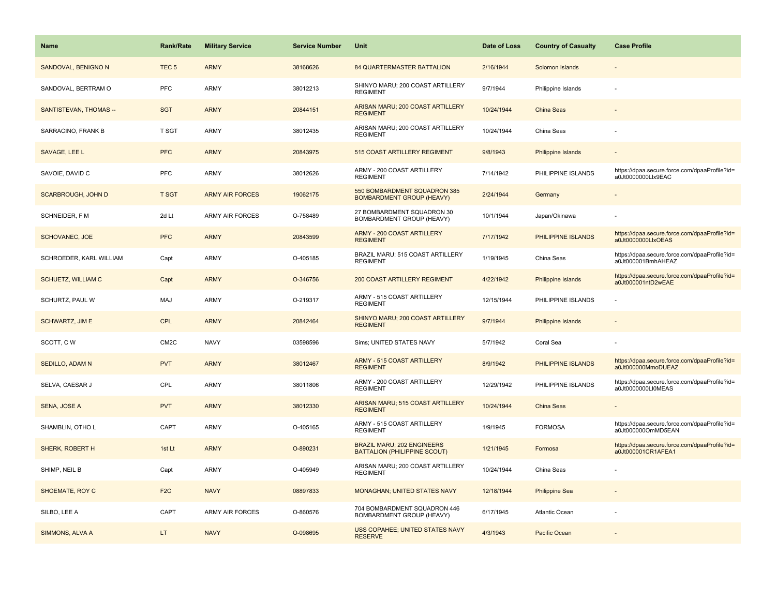| Name                      | <b>Rank/Rate</b>  | <b>Military Service</b> | <b>Service Number</b> | Unit                                                                     | Date of Loss | <b>Country of Casualty</b> | <b>Case Profile</b>                                                 |
|---------------------------|-------------------|-------------------------|-----------------------|--------------------------------------------------------------------------|--------------|----------------------------|---------------------------------------------------------------------|
| SANDOVAL, BENIGNO N       | TEC <sub>5</sub>  | <b>ARMY</b>             | 38168626              | <b>84 QUARTERMASTER BATTALION</b>                                        | 2/16/1944    | Solomon Islands            |                                                                     |
| SANDOVAL, BERTRAM O       | <b>PFC</b>        | ARMY                    | 38012213              | SHINYO MARU; 200 COAST ARTILLERY<br><b>REGIMENT</b>                      | 9/7/1944     | Philippine Islands         |                                                                     |
| SANTISTEVAN, THOMAS --    | <b>SGT</b>        | <b>ARMY</b>             | 20844151              | ARISAN MARU; 200 COAST ARTILLERY<br><b>REGIMENT</b>                      | 10/24/1944   | <b>China Seas</b>          |                                                                     |
| SARRACINO, FRANK B        | T SGT             | ARMY                    | 38012435              | ARISAN MARU; 200 COAST ARTILLERY<br><b>REGIMENT</b>                      | 10/24/1944   | China Seas                 |                                                                     |
| SAVAGE, LEE L             | <b>PFC</b>        | <b>ARMY</b>             | 20843975              | 515 COAST ARTILLERY REGIMENT                                             | 9/8/1943     | Philippine Islands         |                                                                     |
| SAVOIE, DAVID C           | <b>PFC</b>        | ARMY                    | 38012626              | ARMY - 200 COAST ARTILLERY<br><b>REGIMENT</b>                            | 7/14/1942    | PHILIPPINE ISLANDS         | https://dpaa.secure.force.com/dpaaProfile?id=<br>a0Jt0000000Llx9EAC |
| <b>SCARBROUGH, JOHN D</b> | <b>T SGT</b>      | <b>ARMY AIR FORCES</b>  | 19062175              | 550 BOMBARDMENT SQUADRON 385<br><b>BOMBARDMENT GROUP (HEAVY)</b>         | 2/24/1944    | Germany                    | $\overline{\phantom{a}}$                                            |
| SCHNEIDER, F M            | 2d Lt             | <b>ARMY AIR FORCES</b>  | O-758489              | 27 BOMBARDMENT SQUADRON 30<br>BOMBARDMENT GROUP (HEAVY)                  | 10/1/1944    | Japan/Okinawa              |                                                                     |
| <b>SCHOVANEC, JOE</b>     | <b>PFC</b>        | <b>ARMY</b>             | 20843599              | <b>ARMY - 200 COAST ARTILLERY</b><br><b>REGIMENT</b>                     | 7/17/1942    | PHILIPPINE ISLANDS         | https://dpaa.secure.force.com/dpaaProfile?id=<br>a0Jt0000000LlxOEAS |
| SCHROEDER, KARL WILLIAM   | Capt              | ARMY                    | O-405185              | BRAZIL MARU; 515 COAST ARTILLERY<br><b>REGIMENT</b>                      | 1/19/1945    | China Seas                 | https://dpaa.secure.force.com/dpaaProfile?id=<br>a0Jt000001BmhAHEAZ |
| <b>SCHUETZ, WILLIAM C</b> | Capt              | <b>ARMY</b>             | O-346756              | 200 COAST ARTILLERY REGIMENT                                             | 4/22/1942    | Philippine Islands         | https://dpaa.secure.force.com/dpaaProfile?id=<br>a0Jt000001ntD2wEAE |
| SCHURTZ, PAUL W           | MAJ               | ARMY                    | O-219317              | ARMY - 515 COAST ARTILLERY<br><b>REGIMENT</b>                            | 12/15/1944   | PHILIPPINE ISLANDS         |                                                                     |
| <b>SCHWARTZ, JIM E</b>    | <b>CPL</b>        | <b>ARMY</b>             | 20842464              | SHINYO MARU; 200 COAST ARTILLERY<br><b>REGIMENT</b>                      | 9/7/1944     | Philippine Islands         |                                                                     |
| SCOTT, CW                 | CM <sub>2</sub> C | <b>NAVY</b>             | 03598596              | Sims; UNITED STATES NAVY                                                 | 5/7/1942     | Coral Sea                  |                                                                     |
| SEDILLO, ADAM N           | <b>PVT</b>        | <b>ARMY</b>             | 38012467              | ARMY - 515 COAST ARTILLERY<br><b>REGIMENT</b>                            | 8/9/1942     | PHILIPPINE ISLANDS         | https://dpaa.secure.force.com/dpaaProfile?id=<br>a0Jt000000MmoDUEAZ |
| SELVA, CAESAR J           | CPL               | ARMY                    | 38011806              | ARMY - 200 COAST ARTILLERY<br><b>REGIMENT</b>                            | 12/29/1942   | PHILIPPINE ISLANDS         | https://dpaa.secure.force.com/dpaaProfile?id=<br>a0Jt0000000LI0MEAS |
| SENA, JOSE A              | <b>PVT</b>        | <b>ARMY</b>             | 38012330              | ARISAN MARU; 515 COAST ARTILLERY<br><b>REGIMENT</b>                      | 10/24/1944   | <b>China Seas</b>          |                                                                     |
| SHAMBLIN, OTHO L          | CAPT              | ARMY                    | O-405165              | ARMY - 515 COAST ARTILLERY<br><b>REGIMENT</b>                            | 1/9/1945     | <b>FORMOSA</b>             | https://dpaa.secure.force.com/dpaaProfile?id=<br>a0Jt000000OmMD5EAN |
| SHERK, ROBERT H           | 1st Lt            | <b>ARMY</b>             | O-890231              | <b>BRAZIL MARU; 202 ENGINEERS</b><br><b>BATTALION (PHILIPPINE SCOUT)</b> | 1/21/1945    | Formosa                    | https://dpaa.secure.force.com/dpaaProfile?id=<br>a0Jt000001CR1AFEA1 |
| SHIMP, NEIL B             | Capt              | ARMY                    | O-405949              | ARISAN MARU; 200 COAST ARTILLERY<br><b>REGIMENT</b>                      | 10/24/1944   | China Seas                 |                                                                     |
| SHOEMATE, ROY C           | F <sub>2</sub> C  | <b>NAVY</b>             | 08897833              | <b>MONAGHAN; UNITED STATES NAVY</b>                                      | 12/18/1944   | <b>Philippine Sea</b>      |                                                                     |
| SILBO, LEE A              | CAPT              | <b>ARMY AIR FORCES</b>  | O-860576              | 704 BOMBARDMENT SQUADRON 446<br>BOMBARDMENT GROUP (HEAVY)                | 6/17/1945    | Atlantic Ocean             |                                                                     |
| SIMMONS, ALVA A           | LT.               | <b>NAVY</b>             | O-098695              | USS COPAHEE; UNITED STATES NAVY<br><b>RESERVE</b>                        | 4/3/1943     | Pacific Ocean              |                                                                     |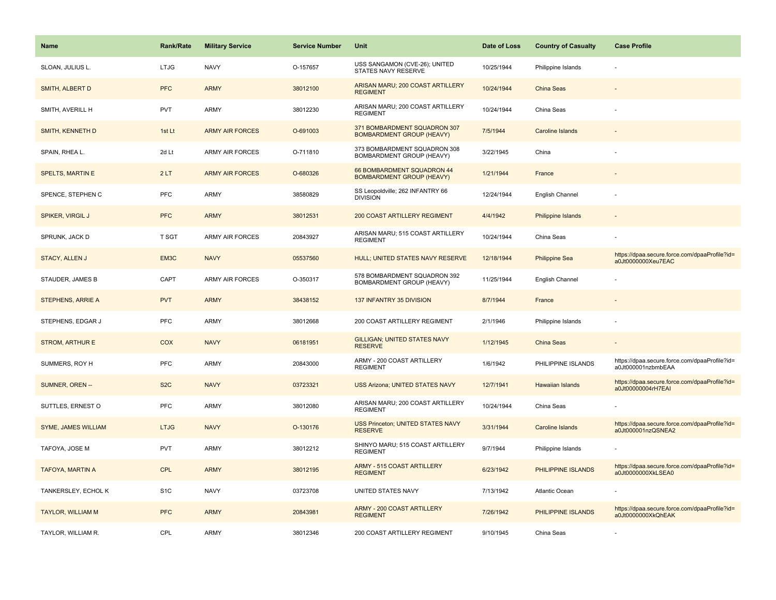| <b>Name</b>                | <b>Rank/Rate</b> | <b>Military Service</b> | <b>Service Number</b> | Unit                                                             | Date of Loss | <b>Country of Casualty</b> | <b>Case Profile</b>                                                 |
|----------------------------|------------------|-------------------------|-----------------------|------------------------------------------------------------------|--------------|----------------------------|---------------------------------------------------------------------|
| SLOAN, JULIUS L.           | <b>LTJG</b>      | <b>NAVY</b>             | O-157657              | USS SANGAMON (CVE-26); UNITED<br>STATES NAVY RESERVE             | 10/25/1944   | Philippine Islands         |                                                                     |
| <b>SMITH, ALBERT D</b>     | <b>PFC</b>       | <b>ARMY</b>             | 38012100              | ARISAN MARU; 200 COAST ARTILLERY<br><b>REGIMENT</b>              | 10/24/1944   | <b>China Seas</b>          |                                                                     |
| SMITH, AVERILL H           | <b>PVT</b>       | <b>ARMY</b>             | 38012230              | ARISAN MARU; 200 COAST ARTILLERY<br><b>REGIMENT</b>              | 10/24/1944   | China Seas                 |                                                                     |
| SMITH, KENNETH D           | 1st Lt           | <b>ARMY AIR FORCES</b>  | O-691003              | 371 BOMBARDMENT SQUADRON 307<br><b>BOMBARDMENT GROUP (HEAVY)</b> | 7/5/1944     | <b>Caroline Islands</b>    |                                                                     |
| SPAIN, RHEA L.             | 2d Lt            | <b>ARMY AIR FORCES</b>  | O-711810              | 373 BOMBARDMENT SQUADRON 308<br>BOMBARDMENT GROUP (HEAVY)        | 3/22/1945    | China                      |                                                                     |
| <b>SPELTS, MARTIN E</b>    | 2LT              | <b>ARMY AIR FORCES</b>  | O-680326              | 66 BOMBARDMENT SQUADRON 44<br><b>BOMBARDMENT GROUP (HEAVY)</b>   | 1/21/1944    | France                     |                                                                     |
| SPENCE, STEPHEN C          | PFC              | <b>ARMY</b>             | 38580829              | SS Leopoldville; 262 INFANTRY 66<br><b>DIVISION</b>              | 12/24/1944   | English Channel            |                                                                     |
| <b>SPIKER, VIRGIL J</b>    | <b>PFC</b>       | <b>ARMY</b>             | 38012531              | <b>200 COAST ARTILLERY REGIMENT</b>                              | 4/4/1942     | <b>Philippine Islands</b>  |                                                                     |
| SPRUNK, JACK D             | <b>T SGT</b>     | ARMY AIR FORCES         | 20843927              | ARISAN MARU; 515 COAST ARTILLERY<br><b>REGIMENT</b>              | 10/24/1944   | China Seas                 |                                                                     |
| <b>STACY, ALLEN J</b>      | EM3C             | <b>NAVY</b>             | 05537560              | HULL; UNITED STATES NAVY RESERVE                                 | 12/18/1944   | <b>Philippine Sea</b>      | https://dpaa.secure.force.com/dpaaProfile?id=<br>a0Jt0000000Xeu7EAC |
| STAUDER, JAMES B           | CAPT             | <b>ARMY AIR FORCES</b>  | O-350317              | 578 BOMBARDMENT SQUADRON 392<br>BOMBARDMENT GROUP (HEAVY)        | 11/25/1944   | English Channel            |                                                                     |
| STEPHENS, ARRIE A          | <b>PVT</b>       | <b>ARMY</b>             | 38438152              | 137 INFANTRY 35 DIVISION                                         | 8/7/1944     | France                     |                                                                     |
| STEPHENS, EDGAR J          | <b>PFC</b>       | <b>ARMY</b>             | 38012668              | 200 COAST ARTILLERY REGIMENT                                     | 2/1/1946     | Philippine Islands         |                                                                     |
| <b>STROM, ARTHURE</b>      | COX              | <b>NAVY</b>             | 06181951              | <b>GILLIGAN; UNITED STATES NAVY</b><br><b>RESERVE</b>            | 1/12/1945    | China Seas                 |                                                                     |
| SUMMERS, ROY H             | <b>PFC</b>       | ARMY                    | 20843000              | ARMY - 200 COAST ARTILLERY<br><b>REGIMENT</b>                    | 1/6/1942     | PHILIPPINE ISLANDS         | https://dpaa.secure.force.com/dpaaProfile?id=<br>a0Jt000001nzbmbEAA |
| SUMNER, OREN --            | S <sub>2</sub> C | <b>NAVY</b>             | 03723321              | <b>USS Arizona; UNITED STATES NAVY</b>                           | 12/7/1941    | <b>Hawaiian Islands</b>    | https://dpaa.secure.force.com/dpaaProfile?id=<br>a0Jt00000004rH7EAI |
| SUTTLES, ERNEST O          | <b>PFC</b>       | <b>ARMY</b>             | 38012080              | ARISAN MARU; 200 COAST ARTILLERY<br><b>REGIMENT</b>              | 10/24/1944   | China Seas                 |                                                                     |
| <b>SYME, JAMES WILLIAM</b> | <b>LTJG</b>      | <b>NAVY</b>             | O-130176              | <b>USS Princeton; UNITED STATES NAVY</b><br><b>RESERVE</b>       | 3/31/1944    | <b>Caroline Islands</b>    | https://dpaa.secure.force.com/dpaaProfile?id=<br>a0Jt000001nzQSNEA2 |
| TAFOYA, JOSE M             | <b>PVT</b>       | <b>ARMY</b>             | 38012212              | SHINYO MARU; 515 COAST ARTILLERY<br><b>REGIMENT</b>              | 9/7/1944     | Philippine Islands         |                                                                     |
| <b>TAFOYA, MARTIN A</b>    | <b>CPL</b>       | <b>ARMY</b>             | 38012195              | <b>ARMY - 515 COAST ARTILLERY</b><br><b>REGIMENT</b>             | 6/23/1942    | PHILIPPINE ISLANDS         | https://dpaa.secure.force.com/dpaaProfile?id=<br>a0Jt0000000XkLSEA0 |
| TANKERSLEY, ECHOL K        | S <sub>1</sub> C | <b>NAVY</b>             | 03723708              | UNITED STATES NAVY                                               | 7/13/1942    | Atlantic Ocean             |                                                                     |
| <b>TAYLOR, WILLIAM M</b>   | <b>PFC</b>       | <b>ARMY</b>             | 20843981              | ARMY - 200 COAST ARTILLERY<br><b>REGIMENT</b>                    | 7/26/1942    | PHILIPPINE ISLANDS         | https://dpaa.secure.force.com/dpaaProfile?id=<br>a0Jt0000000XkQhEAK |
| TAYLOR, WILLIAM R.         | CPL              | ARMY                    | 38012346              | 200 COAST ARTILLERY REGIMENT                                     | 9/10/1945    | China Seas                 |                                                                     |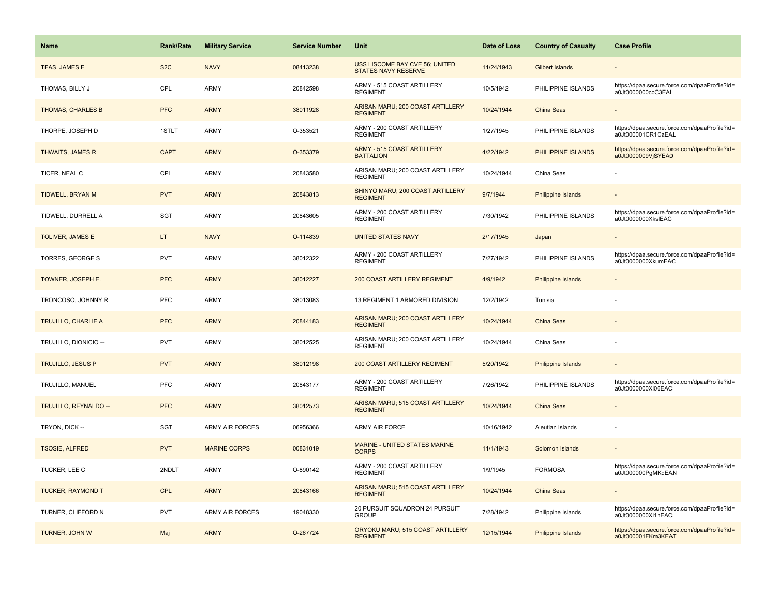| Name                       | <b>Rank/Rate</b> | <b>Military Service</b> | <b>Service Number</b> | Unit                                                         | Date of Loss | <b>Country of Casualty</b> | <b>Case Profile</b>                                                 |
|----------------------------|------------------|-------------------------|-----------------------|--------------------------------------------------------------|--------------|----------------------------|---------------------------------------------------------------------|
| TEAS, JAMES E              | S <sub>2</sub> C | <b>NAVY</b>             | 08413238              | USS LISCOME BAY CVE 56; UNITED<br><b>STATES NAVY RESERVE</b> | 11/24/1943   | <b>Gilbert Islands</b>     |                                                                     |
| THOMAS, BILLY J            | CPL              | <b>ARMY</b>             | 20842598              | ARMY - 515 COAST ARTILLERY<br><b>REGIMENT</b>                | 10/5/1942    | PHILIPPINE ISLANDS         | https://dpaa.secure.force.com/dpaaProfile?id=<br>a0Jt0000000ccC3EAI |
| THOMAS, CHARLES B          | <b>PFC</b>       | <b>ARMY</b>             | 38011928              | ARISAN MARU; 200 COAST ARTILLERY<br><b>REGIMENT</b>          | 10/24/1944   | China Seas                 |                                                                     |
| THORPE, JOSEPH D           | 1STLT            | <b>ARMY</b>             | O-353521              | ARMY - 200 COAST ARTILLERY<br><b>REGIMENT</b>                | 1/27/1945    | PHILIPPINE ISLANDS         | https://dpaa.secure.force.com/dpaaProfile?id=<br>a0Jt000001CR1CaEAL |
| <b>THWAITS, JAMES R</b>    | <b>CAPT</b>      | <b>ARMY</b>             | O-353379              | <b>ARMY - 515 COAST ARTILLERY</b><br><b>BATTALION</b>        | 4/22/1942    | PHILIPPINE ISLANDS         | https://dpaa.secure.force.com/dpaaProfile?id=<br>a0Jt0000009VjSYEA0 |
| TICER, NEAL C              | CPL              | <b>ARMY</b>             | 20843580              | ARISAN MARU; 200 COAST ARTILLERY<br><b>REGIMENT</b>          | 10/24/1944   | China Seas                 |                                                                     |
| TIDWELL, BRYAN M           | <b>PVT</b>       | <b>ARMY</b>             | 20843813              | SHINYO MARU; 200 COAST ARTILLERY<br><b>REGIMENT</b>          | 9/7/1944     | Philippine Islands         |                                                                     |
| TIDWELL, DURRELL A         | SGT              | <b>ARMY</b>             | 20843605              | ARMY - 200 COAST ARTILLERY<br><b>REGIMENT</b>                | 7/30/1942    | PHILIPPINE ISLANDS         | https://dpaa.secure.force.com/dpaaProfile?id=<br>a0Jt0000000XkslEAC |
| TOLIVER, JAMES E           | LT.              | <b>NAVY</b>             | O-114839              | <b>UNITED STATES NAVY</b>                                    | 2/17/1945    | Japan                      |                                                                     |
| TORRES, GEORGE S           | <b>PVT</b>       | <b>ARMY</b>             | 38012322              | ARMY - 200 COAST ARTILLERY<br><b>REGIMENT</b>                | 7/27/1942    | PHILIPPINE ISLANDS         | https://dpaa.secure.force.com/dpaaProfile?id=<br>a0Jt0000000XkumEAC |
| TOWNER, JOSEPH E.          | <b>PFC</b>       | <b>ARMY</b>             | 38012227              | 200 COAST ARTILLERY REGIMENT                                 | 4/9/1942     | <b>Philippine Islands</b>  |                                                                     |
| TRONCOSO, JOHNNY R         | PFC              | <b>ARMY</b>             | 38013083              | 13 REGIMENT 1 ARMORED DIVISION                               | 12/2/1942    | Tunisia                    |                                                                     |
| <b>TRUJILLO, CHARLIE A</b> | <b>PFC</b>       | <b>ARMY</b>             | 20844183              | ARISAN MARU; 200 COAST ARTILLERY<br><b>REGIMENT</b>          | 10/24/1944   | China Seas                 |                                                                     |
| TRUJILLO, DIONICIO --      | PVT              | <b>ARMY</b>             | 38012525              | ARISAN MARU; 200 COAST ARTILLERY<br><b>REGIMENT</b>          | 10/24/1944   | China Seas                 |                                                                     |
| <b>TRUJILLO, JESUS P</b>   | <b>PVT</b>       | <b>ARMY</b>             | 38012198              | <b>200 COAST ARTILLERY REGIMENT</b>                          | 5/20/1942    | Philippine Islands         |                                                                     |
| TRUJILLO, MANUEL           | PFC              | <b>ARMY</b>             | 20843177              | ARMY - 200 COAST ARTILLERY<br><b>REGIMENT</b>                | 7/26/1942    | PHILIPPINE ISLANDS         | https://dpaa.secure.force.com/dpaaProfile?id=<br>a0Jt0000000XI06EAC |
| TRUJILLO, REYNALDO --      | <b>PFC</b>       | <b>ARMY</b>             | 38012573              | ARISAN MARU; 515 COAST ARTILLERY<br><b>REGIMENT</b>          | 10/24/1944   | China Seas                 |                                                                     |
| TRYON, DICK --             | SGT              | <b>ARMY AIR FORCES</b>  | 06956366              | ARMY AIR FORCE                                               | 10/16/1942   | Aleutian Islands           |                                                                     |
| <b>TSOSIE, ALFRED</b>      | <b>PVT</b>       | <b>MARINE CORPS</b>     | 00831019              | MARINE - UNITED STATES MARINE<br><b>CORPS</b>                | 11/1/1943    | Solomon Islands            |                                                                     |
| TUCKER, LEE C              | 2NDLT            | <b>ARMY</b>             | O-890142              | ARMY - 200 COAST ARTILLERY<br><b>REGIMENT</b>                | 1/9/1945     | <b>FORMOSA</b>             | https://dpaa.secure.force.com/dpaaProfile?id=<br>a0Jt000000PgMKdEAN |
| <b>TUCKER, RAYMOND T</b>   | <b>CPL</b>       | <b>ARMY</b>             | 20843166              | ARISAN MARU; 515 COAST ARTILLERY<br><b>REGIMENT</b>          | 10/24/1944   | China Seas                 |                                                                     |
| TURNER, CLIFFORD N         | <b>PVT</b>       | <b>ARMY AIR FORCES</b>  | 19048330              | 20 PURSUIT SQUADRON 24 PURSUIT<br><b>GROUP</b>               | 7/28/1942    | Philippine Islands         | https://dpaa.secure.force.com/dpaaProfile?id=<br>a0Jt0000000Xl1nEAC |
| TURNER, JOHN W             | Maj              | <b>ARMY</b>             | O-267724              | ORYOKU MARU; 515 COAST ARTILLERY<br><b>REGIMENT</b>          | 12/15/1944   | Philippine Islands         | https://dpaa.secure.force.com/dpaaProfile?id=<br>a0Jt000001FKm3KEAT |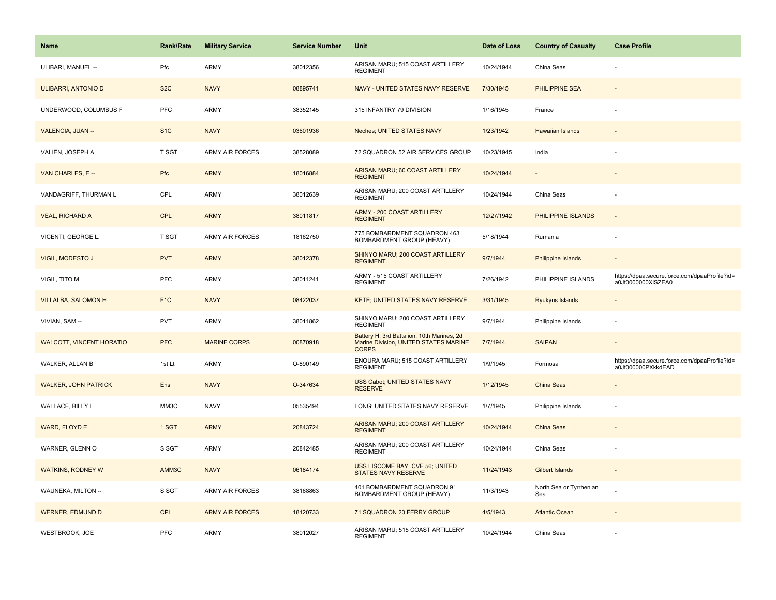| <b>Name</b>                     | <b>Rank/Rate</b> | <b>Military Service</b> | <b>Service Number</b> | Unit                                                                                                | Date of Loss | <b>Country of Casualty</b>     | <b>Case Profile</b>                                                 |
|---------------------------------|------------------|-------------------------|-----------------------|-----------------------------------------------------------------------------------------------------|--------------|--------------------------------|---------------------------------------------------------------------|
| ULIBARI, MANUEL --              | Pfc              | ARMY                    | 38012356              | ARISAN MARU; 515 COAST ARTILLERY<br><b>REGIMENT</b>                                                 | 10/24/1944   | China Seas                     |                                                                     |
| <b>ULIBARRI, ANTONIO D</b>      | S <sub>2</sub> C | <b>NAVY</b>             | 08895741              | NAVY - UNITED STATES NAVY RESERVE                                                                   | 7/30/1945    | <b>PHILIPPINE SEA</b>          |                                                                     |
| UNDERWOOD, COLUMBUS F           | PFC              | ARMY                    | 38352145              | 315 INFANTRY 79 DIVISION                                                                            | 1/16/1945    | France                         |                                                                     |
| VALENCIA, JUAN --               | S <sub>1</sub> C | <b>NAVY</b>             | 03601936              | Neches; UNITED STATES NAVY                                                                          | 1/23/1942    | <b>Hawaiian Islands</b>        |                                                                     |
| VALIEN, JOSEPH A                | T SGT            | <b>ARMY AIR FORCES</b>  | 38528089              | 72 SQUADRON 52 AIR SERVICES GROUP                                                                   | 10/23/1945   | India                          |                                                                     |
| VAN CHARLES, E --               | Pfc              | <b>ARMY</b>             | 18016884              | ARISAN MARU; 60 COAST ARTILLERY<br><b>REGIMENT</b>                                                  | 10/24/1944   | $\overline{\phantom{a}}$       |                                                                     |
| VANDAGRIFF, THURMAN L           | CPL              | ARMY                    | 38012639              | ARISAN MARU; 200 COAST ARTILLERY<br><b>REGIMENT</b>                                                 | 10/24/1944   | China Seas                     |                                                                     |
| <b>VEAL, RICHARD A</b>          | <b>CPL</b>       | <b>ARMY</b>             | 38011817              | <b>ARMY - 200 COAST ARTILLERY</b><br><b>REGIMENT</b>                                                | 12/27/1942   | PHILIPPINE ISLANDS             | $\bar{z}$                                                           |
| VICENTI, GEORGE L.              | T SGT            | ARMY AIR FORCES         | 18162750              | 775 BOMBARDMENT SQUADRON 463<br>BOMBARDMENT GROUP (HEAVY)                                           | 5/18/1944    | Rumania                        |                                                                     |
| VIGIL, MODESTO J                | <b>PVT</b>       | <b>ARMY</b>             | 38012378              | SHINYO MARU; 200 COAST ARTILLERY<br><b>REGIMENT</b>                                                 | 9/7/1944     | Philippine Islands             |                                                                     |
| VIGIL, TITO M                   | <b>PFC</b>       | ARMY                    | 38011241              | ARMY - 515 COAST ARTILLERY<br><b>REGIMENT</b>                                                       | 7/26/1942    | PHILIPPINE ISLANDS             | https://dpaa.secure.force.com/dpaaProfile?id=<br>a0Jt0000000XISZEA0 |
| <b>VILLALBA, SALOMON H</b>      | F <sub>1C</sub>  | <b>NAVY</b>             | 08422037              | KETE; UNITED STATES NAVY RESERVE                                                                    | 3/31/1945    | Ryukyus Islands                |                                                                     |
| VIVIAN, SAM --                  | <b>PVT</b>       | ARMY                    | 38011862              | SHINYO MARU; 200 COAST ARTILLERY<br><b>REGIMENT</b>                                                 | 9/7/1944     | Philippine Islands             | ÷,                                                                  |
| <b>WALCOTT, VINCENT HORATIO</b> | <b>PFC</b>       | <b>MARINE CORPS</b>     | 00870918              | Battery H, 3rd Battalion, 10th Marines, 2d<br>Marine Division, UNITED STATES MARINE<br><b>CORPS</b> | 7/7/1944     | <b>SAIPAN</b>                  |                                                                     |
| WALKER, ALLAN B                 | 1st Lt           | ARMY                    | O-890149              | ENOURA MARU; 515 COAST ARTILLERY<br><b>REGIMENT</b>                                                 | 1/9/1945     | Formosa                        | https://dpaa.secure.force.com/dpaaProfile?id=<br>a0Jt000000PXkkdEAD |
| <b>WALKER, JOHN PATRICK</b>     | Ens              | <b>NAVY</b>             | O-347634              | USS Cabot; UNITED STATES NAVY<br><b>RESERVE</b>                                                     | 1/12/1945    | China Seas                     |                                                                     |
| WALLACE, BILLY L                | MM3C             | <b>NAVY</b>             | 05535494              | LONG; UNITED STATES NAVY RESERVE                                                                    | 1/7/1945     | Philippine Islands             |                                                                     |
| WARD, FLOYD E                   | 1 SGT            | <b>ARMY</b>             | 20843724              | ARISAN MARU; 200 COAST ARTILLERY<br><b>REGIMENT</b>                                                 | 10/24/1944   | China Seas                     |                                                                     |
| WARNER, GLENN O                 | S SGT            | ARMY                    | 20842485              | ARISAN MARU; 200 COAST ARTILLERY<br><b>REGIMENT</b>                                                 | 10/24/1944   | China Seas                     |                                                                     |
| <b>WATKINS, RODNEY W</b>        | AMM3C            | <b>NAVY</b>             | 06184174              | USS LISCOME BAY CVE 56; UNITED<br>STATES NAVY RESERVE                                               | 11/24/1943   | <b>Gilbert Islands</b>         |                                                                     |
| WAUNEKA, MILTON --              | S SGT            | ARMY AIR FORCES         | 38168863              | 401 BOMBARDMENT SQUADRON 91<br>BOMBARDMENT GROUP (HEAVY)                                            | 11/3/1943    | North Sea or Tyrrhenian<br>Sea |                                                                     |
| <b>WERNER, EDMUND D</b>         | <b>CPL</b>       | <b>ARMY AIR FORCES</b>  | 18120733              | 71 SQUADRON 20 FERRY GROUP                                                                          | 4/5/1943     | <b>Atlantic Ocean</b>          |                                                                     |
| WESTBROOK, JOE                  | PFC              | ARMY                    | 38012027              | ARISAN MARU; 515 COAST ARTILLERY<br><b>REGIMENT</b>                                                 | 10/24/1944   | China Seas                     |                                                                     |